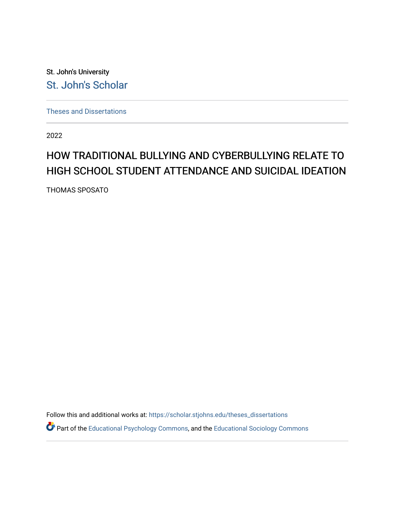St. John's University [St. John's Scholar](https://scholar.stjohns.edu/) 

[Theses and Dissertations](https://scholar.stjohns.edu/theses_dissertations)

2022

## HOW TRADITIONAL BULLYING AND CYBERBULLYING RELATE TO HIGH SCHOOL STUDENT ATTENDANCE AND SUICIDAL IDEATION

THOMAS SPOSATO

Follow this and additional works at: [https://scholar.stjohns.edu/theses\\_dissertations](https://scholar.stjohns.edu/theses_dissertations?utm_source=scholar.stjohns.edu%2Ftheses_dissertations%2F340&utm_medium=PDF&utm_campaign=PDFCoverPages)

Part of the [Educational Psychology Commons,](http://network.bepress.com/hgg/discipline/798?utm_source=scholar.stjohns.edu%2Ftheses_dissertations%2F340&utm_medium=PDF&utm_campaign=PDFCoverPages) and the [Educational Sociology Commons](http://network.bepress.com/hgg/discipline/1071?utm_source=scholar.stjohns.edu%2Ftheses_dissertations%2F340&utm_medium=PDF&utm_campaign=PDFCoverPages)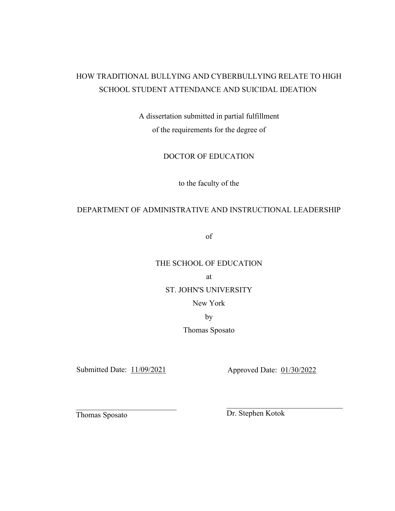## HOW TRADITIONAL BULLYING AND CYBERBULLYING RELATE TO HIGH SCHOOL STUDENT ATTENDANCE AND SUICIDAL IDEATION

A dissertation submitted in partial fulfillment of the requirements for the degree of

DOCTOR OF EDUCATION

to the faculty of the

## DEPARTMENT OF ADMINISTRATIVE AND INSTRUCTIONAL LEADERSHIP

of

## THE SCHOOL OF EDUCATION

at

## ST. JOHN'S UNIVERSITY

New York

by

Thomas Sposato

Submitted Date:  $\frac{11/09/2021}{20}$  Approved Date:  $\frac{01/30/2022}{20}$ 

 $\overline{\phantom{a}}$  , and the contribution of the contribution of the contribution of the contribution of the contribution of the contribution of the contribution of the contribution of the contribution of the contribution of the Thomas Sposato Dr. Stephen Kotok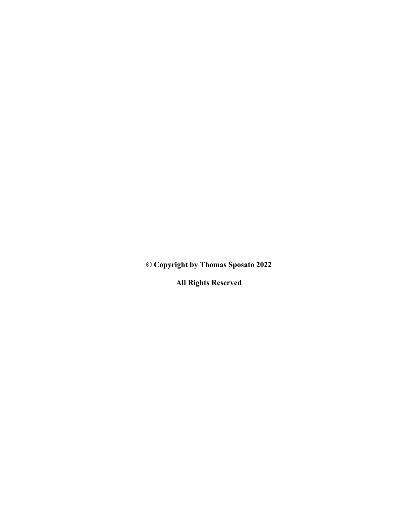**© Copyright by Thomas Sposato 2022** 

**All Rights Reserved**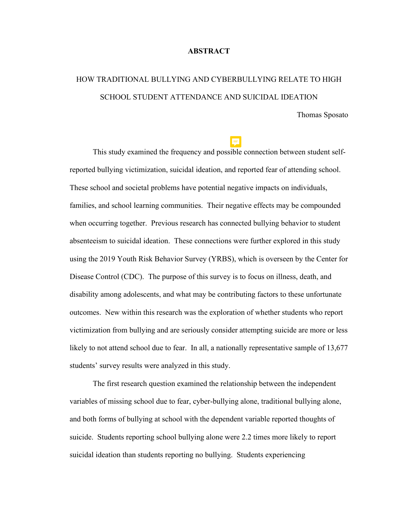## **ABSTRACT**

# HOW TRADITIONAL BULLYING AND CYBERBULLYING RELATE TO HIGH SCHOOL STUDENT ATTENDANCE AND SUICIDAL IDEATION

Thomas Sposato

 This study examined the frequency and possible connection between student selfreported bullying victimization, suicidal ideation, and reported fear of attending school. These school and societal problems have potential negative impacts on individuals, families, and school learning communities. Their negative effects may be compounded when occurring together. Previous research has connected bullying behavior to student absenteeism to suicidal ideation. These connections were further explored in this study using the 2019 Youth Risk Behavior Survey (YRBS), which is overseen by the Center for Disease Control (CDC). The purpose of this survey is to focus on illness, death, and disability among adolescents, and what may be contributing factors to these unfortunate outcomes. New within this research was the exploration of whether students who report victimization from bullying and are seriously consider attempting suicide are more or less likely to not attend school due to fear. In all, a nationally representative sample of 13,677 students' survey results were analyzed in this study.

The first research question examined the relationship between the independent variables of missing school due to fear, cyber-bullying alone, traditional bullying alone, and both forms of bullying at school with the dependent variable reported thoughts of suicide. Students reporting school bullying alone were 2.2 times more likely to report suicidal ideation than students reporting no bullying. Students experiencing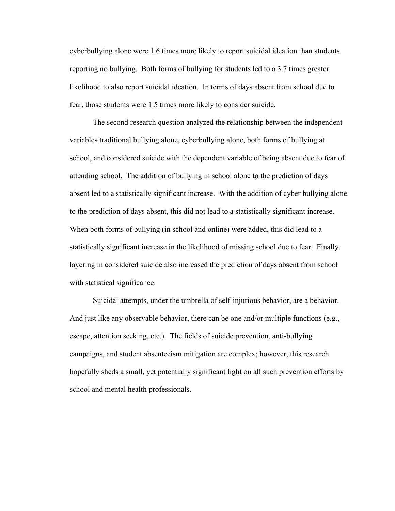cyberbullying alone were 1.6 times more likely to report suicidal ideation than students reporting no bullying. Both forms of bullying for students led to a 3.7 times greater likelihood to also report suicidal ideation. In terms of days absent from school due to fear, those students were 1.5 times more likely to consider suicide.

The second research question analyzed the relationship between the independent variables traditional bullying alone, cyberbullying alone, both forms of bullying at school, and considered suicide with the dependent variable of being absent due to fear of attending school. The addition of bullying in school alone to the prediction of days absent led to a statistically significant increase. With the addition of cyber bullying alone to the prediction of days absent, this did not lead to a statistically significant increase. When both forms of bullying (in school and online) were added, this did lead to a statistically significant increase in the likelihood of missing school due to fear. Finally, layering in considered suicide also increased the prediction of days absent from school with statistical significance.

Suicidal attempts, under the umbrella of self-injurious behavior, are a behavior. And just like any observable behavior, there can be one and/or multiple functions (e.g., escape, attention seeking, etc.). The fields of suicide prevention, anti-bullying campaigns, and student absenteeism mitigation are complex; however, this research hopefully sheds a small, yet potentially significant light on all such prevention efforts by school and mental health professionals.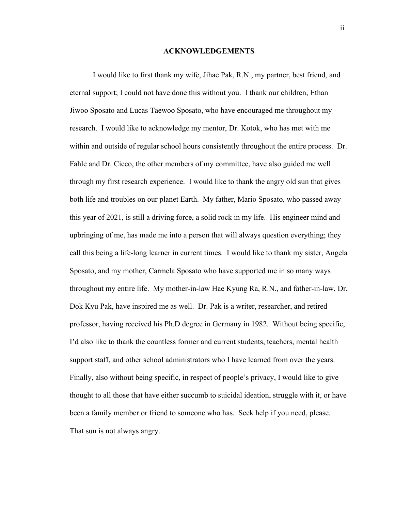## **ACKNOWLEDGEMENTS**

<span id="page-5-0"></span> I would like to first thank my wife, Jihae Pak, R.N., my partner, best friend, and eternal support; I could not have done this without you. I thank our children, Ethan Jiwoo Sposato and Lucas Taewoo Sposato, who have encouraged me throughout my research. I would like to acknowledge my mentor, Dr. Kotok, who has met with me within and outside of regular school hours consistently throughout the entire process. Dr. Fahle and Dr. Cicco, the other members of my committee, have also guided me well through my first research experience. I would like to thank the angry old sun that gives both life and troubles on our planet Earth. My father, Mario Sposato, who passed away this year of 2021, is still a driving force, a solid rock in my life. His engineer mind and upbringing of me, has made me into a person that will always question everything; they call this being a life-long learner in current times. I would like to thank my sister, Angela Sposato, and my mother, Carmela Sposato who have supported me in so many ways throughout my entire life. My mother-in-law Hae Kyung Ra, R.N., and father-in-law, Dr. Dok Kyu Pak, have inspired me as well. Dr. Pak is a writer, researcher, and retired professor, having received his Ph.D degree in Germany in 1982. Without being specific, I'd also like to thank the countless former and current students, teachers, mental health support staff, and other school administrators who I have learned from over the years. Finally, also without being specific, in respect of people's privacy, I would like to give thought to all those that have either succumb to suicidal ideation, struggle with it, or have been a family member or friend to someone who has. Seek help if you need, please. That sun is not always angry.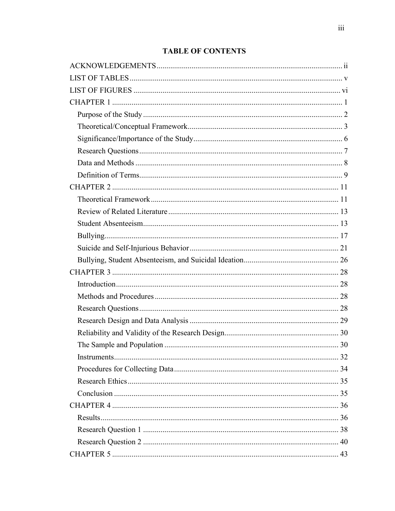## **TABLE OF CONTENTS**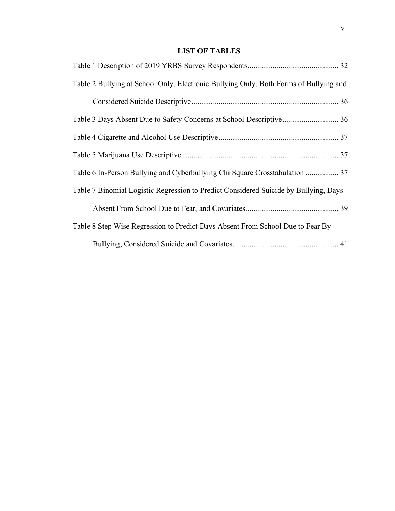## **LIST OF TABLES**

<span id="page-8-0"></span>

| Table 2 Bullying at School Only, Electronic Bullying Only, Both Forms of Bullying and |
|---------------------------------------------------------------------------------------|
|                                                                                       |
| Table 3 Days Absent Due to Safety Concerns at School Descriptive 36                   |
|                                                                                       |
|                                                                                       |
| Table 6 In-Person Bullying and Cyberbullying Chi Square Crosstabulation  37           |
| Table 7 Binomial Logistic Regression to Predict Considered Suicide by Bullying, Days  |
|                                                                                       |
| Table 8 Step Wise Regression to Predict Days Absent From School Due to Fear By        |
|                                                                                       |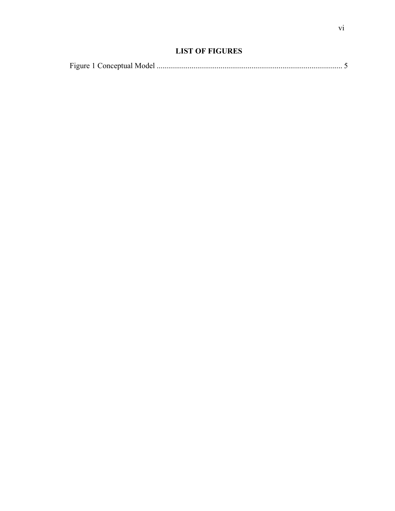## **LIST OF FIGURES**

<span id="page-9-0"></span>

|--|--|--|--|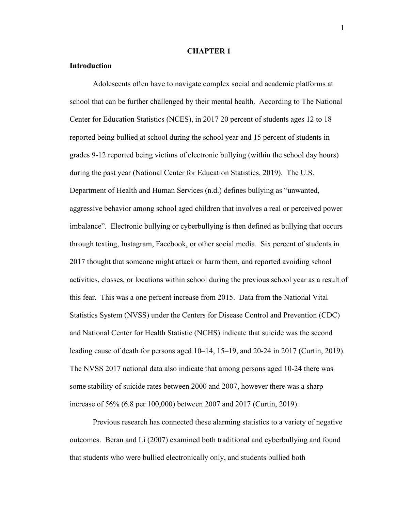## **CHAPTER 1**

## <span id="page-10-0"></span>**Introduction**

Adolescents often have to navigate complex social and academic platforms at school that can be further challenged by their mental health. According to The National Center for Education Statistics (NCES), in 2017 20 percent of students ages 12 to 18 reported being bullied at school during the school year and 15 percent of students in grades 9-12 reported being victims of electronic bullying (within the school day hours) during the past year (National Center for Education Statistics, 2019). The U.S. Department of Health and Human Services (n.d.) defines bullying as "unwanted, aggressive behavior among school aged children that involves a real or perceived power imbalance". Electronic bullying or cyberbullying is then defined as bullying that occurs through texting, Instagram, Facebook, or other social media. Six percent of students in 2017 thought that someone might attack or harm them, and reported avoiding school activities, classes, or locations within school during the previous school year as a result of this fear. This was a one percent increase from 2015. Data from the National Vital Statistics System (NVSS) under the Centers for Disease Control and Prevention (CDC) and National Center for Health Statistic (NCHS) indicate that suicide was the second leading cause of death for persons aged 10–14, 15–19, and 20-24 in 2017 (Curtin, 2019). The NVSS 2017 national data also indicate that among persons aged 10-24 there was some stability of suicide rates between 2000 and 2007, however there was a sharp increase of 56% (6.8 per 100,000) between 2007 and 2017 (Curtin, 2019).

Previous research has connected these alarming statistics to a variety of negative outcomes. Beran and Li (2007) examined both traditional and cyberbullying and found that students who were bullied electronically only, and students bullied both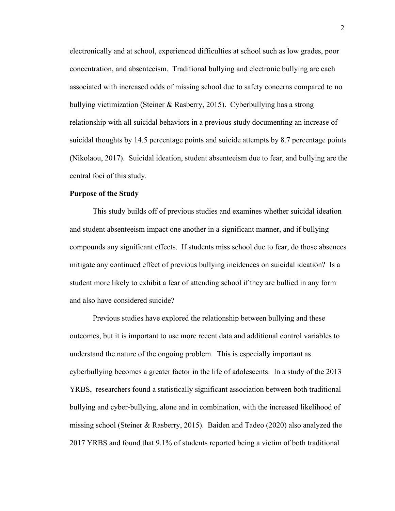electronically and at school, experienced difficulties at school such as low grades, poor concentration, and absenteeism. Traditional bullying and electronic bullying are each associated with increased odds of missing school due to safety concerns compared to no bullying victimization (Steiner & Rasberry, 2015). Cyberbullying has a strong relationship with all suicidal behaviors in a previous study documenting an increase of suicidal thoughts by 14.5 percentage points and suicide attempts by 8.7 percentage points (Nikolaou, 2017). Suicidal ideation, student absenteeism due to fear, and bullying are the central foci of this study.

## <span id="page-11-0"></span>**Purpose of the Study**

This study builds off of previous studies and examines whether suicidal ideation and student absenteeism impact one another in a significant manner, and if bullying compounds any significant effects. If students miss school due to fear, do those absences mitigate any continued effect of previous bullying incidences on suicidal ideation? Is a student more likely to exhibit a fear of attending school if they are bullied in any form and also have considered suicide?

Previous studies have explored the relationship between bullying and these outcomes, but it is important to use more recent data and additional control variables to understand the nature of the ongoing problem. This is especially important as cyberbullying becomes a greater factor in the life of adolescents. In a study of the 2013 YRBS, researchers found a statistically significant association between both traditional bullying and cyber-bullying, alone and in combination, with the increased likelihood of missing school (Steiner & Rasberry, 2015). Baiden and Tadeo (2020) also analyzed the 2017 YRBS and found that 9.1% of students reported being a victim of both traditional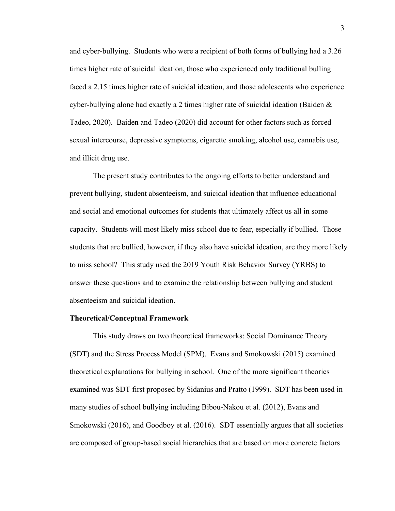and cyber-bullying. Students who were a recipient of both forms of bullying had a 3.26 times higher rate of suicidal ideation, those who experienced only traditional bulling faced a 2.15 times higher rate of suicidal ideation, and those adolescents who experience cyber-bullying alone had exactly a 2 times higher rate of suicidal ideation (Baiden  $\&$ Tadeo, 2020). Baiden and Tadeo (2020) did account for other factors such as forced sexual intercourse, depressive symptoms, cigarette smoking, alcohol use, cannabis use, and illicit drug use.

The present study contributes to the ongoing efforts to better understand and prevent bullying, student absenteeism, and suicidal ideation that influence educational and social and emotional outcomes for students that ultimately affect us all in some capacity. Students will most likely miss school due to fear, especially if bullied. Those students that are bullied, however, if they also have suicidal ideation, are they more likely to miss school? This study used the 2019 Youth Risk Behavior Survey (YRBS) to answer these questions and to examine the relationship between bullying and student absenteeism and suicidal ideation.

#### <span id="page-12-0"></span>**Theoretical/Conceptual Framework**

This study draws on two theoretical frameworks: Social Dominance Theory (SDT) and the Stress Process Model (SPM). Evans and Smokowski (2015) examined theoretical explanations for bullying in school. One of the more significant theories examined was SDT first proposed by Sidanius and Pratto (1999). SDT has been used in many studies of school bullying including Bibou-Nakou et al. (2012), Evans and Smokowski (2016), and Goodboy et al. (2016). SDT essentially argues that all societies are composed of group-based social hierarchies that are based on more concrete factors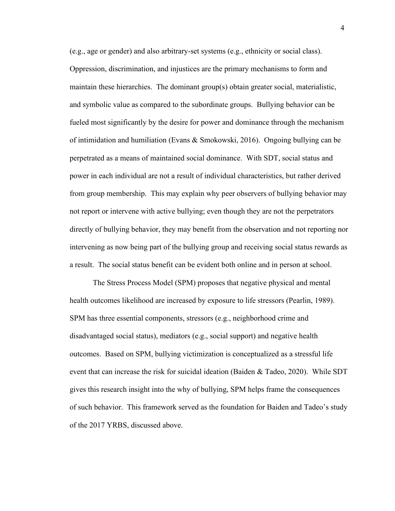(e.g., age or gender) and also arbitrary-set systems (e.g., ethnicity or social class). Oppression, discrimination, and injustices are the primary mechanisms to form and maintain these hierarchies. The dominant group(s) obtain greater social, materialistic, and symbolic value as compared to the subordinate groups. Bullying behavior can be fueled most significantly by the desire for power and dominance through the mechanism of intimidation and humiliation (Evans & Smokowski, 2016). Ongoing bullying can be perpetrated as a means of maintained social dominance. With SDT, social status and power in each individual are not a result of individual characteristics, but rather derived from group membership. This may explain why peer observers of bullying behavior may not report or intervene with active bullying; even though they are not the perpetrators directly of bullying behavior, they may benefit from the observation and not reporting nor intervening as now being part of the bullying group and receiving social status rewards as a result. The social status benefit can be evident both online and in person at school.

The Stress Process Model (SPM) proposes that negative physical and mental health outcomes likelihood are increased by exposure to life stressors (Pearlin, 1989). SPM has three essential components, stressors (e.g., neighborhood crime and disadvantaged social status), mediators (e.g., social support) and negative health outcomes. Based on SPM, bullying victimization is conceptualized as a stressful life event that can increase the risk for suicidal ideation (Baiden & Tadeo, 2020). While SDT gives this research insight into the why of bullying, SPM helps frame the consequences of such behavior. This framework served as the foundation for Baiden and Tadeo's study of the 2017 YRBS, discussed above.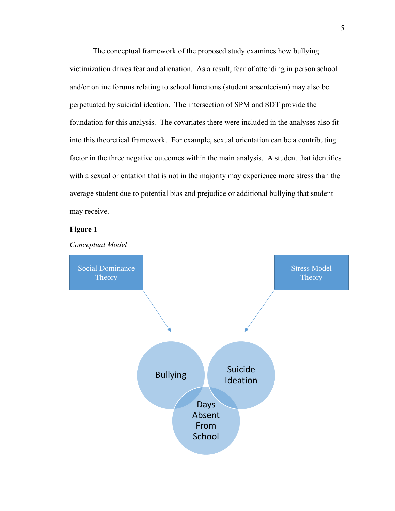The conceptual framework of the proposed study examines how bullying victimization drives fear and alienation. As a result, fear of attending in person school and/or online forums relating to school functions (student absenteeism) may also be perpetuated by suicidal ideation. The intersection of SPM and SDT provide the foundation for this analysis. The covariates there were included in the analyses also fit into this theoretical framework. For example, sexual orientation can be a contributing factor in the three negative outcomes within the main analysis. A student that identifies with a sexual orientation that is not in the majority may experience more stress than the average student due to potential bias and prejudice or additional bullying that student may receive.

5

## **Figure 1**

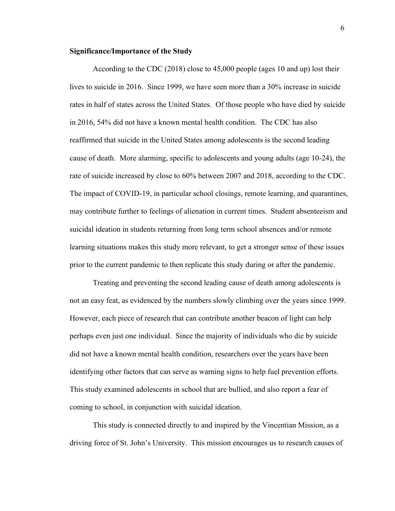## <span id="page-15-0"></span>**Significance/Importance of the Study**

According to the CDC (2018) close to 45,000 people (ages 10 and up) lost their lives to suicide in 2016. Since 1999, we have seen more than a 30% increase in suicide rates in half of states across the United States. Of those people who have died by suicide in 2016, 54% did not have a known mental health condition. The CDC has also reaffirmed that suicide in the United States among adolescents is the second leading cause of death. More alarming, specific to adolescents and young adults (age 10-24), the rate of suicide increased by close to 60% between 2007 and 2018, according to the CDC. The impact of COVID-19, in particular school closings, remote learning, and quarantines, may contribute further to feelings of alienation in current times. Student absenteeism and suicidal ideation in students returning from long term school absences and/or remote learning situations makes this study more relevant, to get a stronger sense of these issues prior to the current pandemic to then replicate this study during or after the pandemic.

Treating and preventing the second leading cause of death among adolescents is not an easy feat, as evidenced by the numbers slowly climbing over the years since 1999. However, each piece of research that can contribute another beacon of light can help perhaps even just one individual. Since the majority of individuals who die by suicide did not have a known mental health condition, researchers over the years have been identifying other factors that can serve as warning signs to help fuel prevention efforts. This study examined adolescents in school that are bullied, and also report a fear of coming to school, in conjunction with suicidal ideation.

This study is connected directly to and inspired by the Vincentian Mission, as a driving force of St. John's University. This mission encourages us to research causes of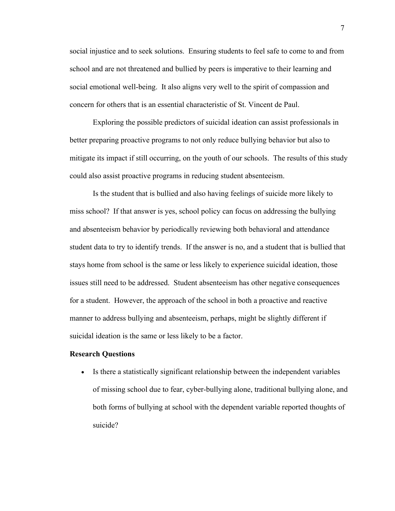social injustice and to seek solutions. Ensuring students to feel safe to come to and from school and are not threatened and bullied by peers is imperative to their learning and social emotional well-being. It also aligns very well to the spirit of compassion and concern for others that is an essential characteristic of St. Vincent de Paul.

Exploring the possible predictors of suicidal ideation can assist professionals in better preparing proactive programs to not only reduce bullying behavior but also to mitigate its impact if still occurring, on the youth of our schools. The results of this study could also assist proactive programs in reducing student absenteeism.

Is the student that is bullied and also having feelings of suicide more likely to miss school? If that answer is yes, school policy can focus on addressing the bullying and absenteeism behavior by periodically reviewing both behavioral and attendance student data to try to identify trends. If the answer is no, and a student that is bullied that stays home from school is the same or less likely to experience suicidal ideation, those issues still need to be addressed. Student absenteeism has other negative consequences for a student. However, the approach of the school in both a proactive and reactive manner to address bullying and absenteeism, perhaps, might be slightly different if suicidal ideation is the same or less likely to be a factor.

#### <span id="page-16-0"></span>**Research Questions**

• Is there a statistically significant relationship between the independent variables of missing school due to fear, cyber-bullying alone, traditional bullying alone, and both forms of bullying at school with the dependent variable reported thoughts of suicide?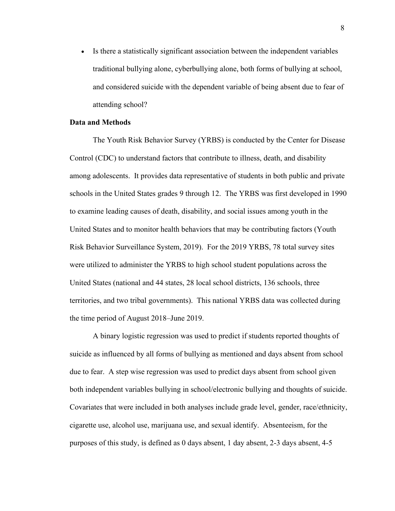• Is there a statistically significant association between the independent variables traditional bullying alone, cyberbullying alone, both forms of bullying at school, and considered suicide with the dependent variable of being absent due to fear of attending school?

## <span id="page-17-0"></span>**Data and Methods**

The Youth Risk Behavior Survey (YRBS) is conducted by the Center for Disease Control (CDC) to understand factors that contribute to illness, death, and disability among adolescents. It provides data representative of students in both public and private schools in the United States grades 9 through 12. The YRBS was first developed in 1990 to examine leading causes of death, disability, and social issues among youth in the United States and to monitor health behaviors that may be contributing factors (Youth Risk Behavior Surveillance System, 2019). For the 2019 YRBS, 78 total survey sites were utilized to administer the YRBS to high school student populations across the United States (national and 44 states, 28 local school districts, 136 schools, three territories, and two tribal governments). This national YRBS data was collected during the time period of August 2018–June 2019.

A binary logistic regression was used to predict if students reported thoughts of suicide as influenced by all forms of bullying as mentioned and days absent from school due to fear. A step wise regression was used to predict days absent from school given both independent variables bullying in school/electronic bullying and thoughts of suicide. Covariates that were included in both analyses include grade level, gender, race/ethnicity, cigarette use, alcohol use, marijuana use, and sexual identify. Absenteeism, for the purposes of this study, is defined as 0 days absent, 1 day absent, 2-3 days absent, 4-5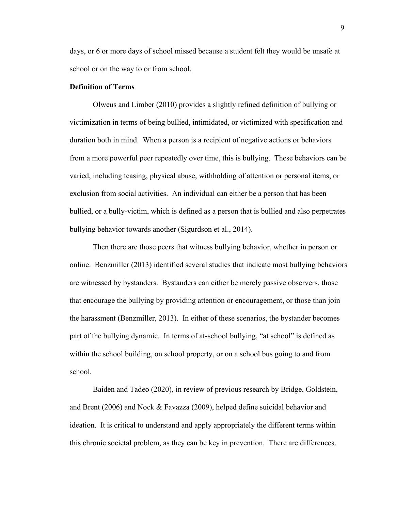days, or 6 or more days of school missed because a student felt they would be unsafe at school or on the way to or from school.

## <span id="page-18-0"></span>**Definition of Terms**

Olweus and Limber (2010) provides a slightly refined definition of bullying or victimization in terms of being bullied, intimidated, or victimized with specification and duration both in mind. When a person is a recipient of negative actions or behaviors from a more powerful peer repeatedly over time, this is bullying. These behaviors can be varied, including teasing, physical abuse, withholding of attention or personal items, or exclusion from social activities. An individual can either be a person that has been bullied, or a bully-victim, which is defined as a person that is bullied and also perpetrates bullying behavior towards another (Sigurdson et al., 2014).

Then there are those peers that witness bullying behavior, whether in person or online. Benzmiller (2013) identified several studies that indicate most bullying behaviors are witnessed by bystanders. Bystanders can either be merely passive observers, those that encourage the bullying by providing attention or encouragement, or those than join the harassment (Benzmiller, 2013). In either of these scenarios, the bystander becomes part of the bullying dynamic. In terms of at-school bullying, "at school" is defined as within the school building, on school property, or on a school bus going to and from school.

Baiden and Tadeo (2020), in review of previous research by Bridge, Goldstein, and Brent (2006) and Nock & Favazza (2009), helped define suicidal behavior and ideation. It is critical to understand and apply appropriately the different terms within this chronic societal problem, as they can be key in prevention. There are differences.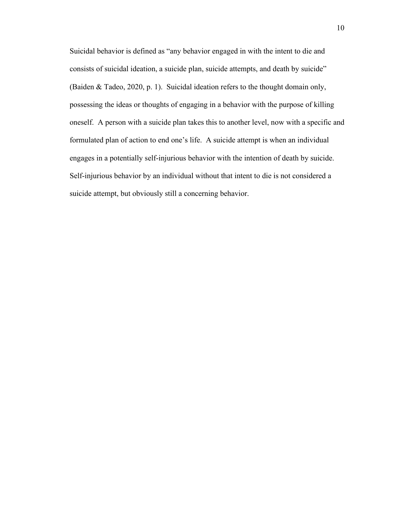Suicidal behavior is defined as "any behavior engaged in with the intent to die and consists of suicidal ideation, a suicide plan, suicide attempts, and death by suicide" (Baiden & Tadeo, 2020, p. 1). Suicidal ideation refers to the thought domain only, possessing the ideas or thoughts of engaging in a behavior with the purpose of killing oneself. A person with a suicide plan takes this to another level, now with a specific and formulated plan of action to end one's life. A suicide attempt is when an individual engages in a potentially self-injurious behavior with the intention of death by suicide. Self-injurious behavior by an individual without that intent to die is not considered a suicide attempt, but obviously still a concerning behavior.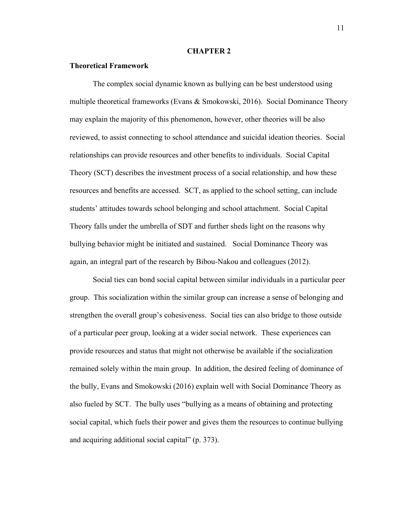## **CHAPTER 2**

## <span id="page-20-1"></span><span id="page-20-0"></span>**Theoretical Framework**

The complex social dynamic known as bullying can be best understood using multiple theoretical frameworks (Evans & Smokowski, 2016). Social Dominance Theory may explain the majority of this phenomenon, however, other theories will be also reviewed, to assist connecting to school attendance and suicidal ideation theories. Social relationships can provide resources and other benefits to individuals. Social Capital Theory (SCT) describes the investment process of a social relationship, and how these resources and benefits are accessed. SCT, as applied to the school setting, can include students' attitudes towards school belonging and school attachment. Social Capital Theory falls under the umbrella of SDT and further sheds light on the reasons why bullying behavior might be initiated and sustained. Social Dominance Theory was again, an integral part of the research by Bibou-Nakou and colleagues (2012).

Social ties can bond social capital between similar individuals in a particular peer group. This socialization within the similar group can increase a sense of belonging and strengthen the overall group's cohesiveness. Social ties can also bridge to those outside of a particular peer group, looking at a wider social network. These experiences can provide resources and status that might not otherwise be available if the socialization remained solely within the main group. In addition, the desired feeling of dominance of the bully, Evans and Smokowski (2016) explain well with Social Dominance Theory as also fueled by SCT. The bully uses "bullying as a means of obtaining and protecting social capital, which fuels their power and gives them the resources to continue bullying and acquiring additional social capital" (p. 373).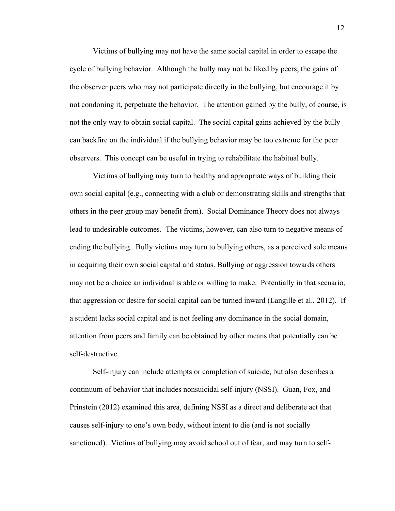Victims of bullying may not have the same social capital in order to escape the cycle of bullying behavior. Although the bully may not be liked by peers, the gains of the observer peers who may not participate directly in the bullying, but encourage it by not condoning it, perpetuate the behavior. The attention gained by the bully, of course, is not the only way to obtain social capital. The social capital gains achieved by the bully can backfire on the individual if the bullying behavior may be too extreme for the peer observers. This concept can be useful in trying to rehabilitate the habitual bully.

Victims of bullying may turn to healthy and appropriate ways of building their own social capital (e.g., connecting with a club or demonstrating skills and strengths that others in the peer group may benefit from). Social Dominance Theory does not always lead to undesirable outcomes. The victims, however, can also turn to negative means of ending the bullying. Bully victims may turn to bullying others, as a perceived sole means in acquiring their own social capital and status. Bullying or aggression towards others may not be a choice an individual is able or willing to make. Potentially in that scenario, that aggression or desire for social capital can be turned inward (Langille et al., 2012). If a student lacks social capital and is not feeling any dominance in the social domain, attention from peers and family can be obtained by other means that potentially can be self-destructive.

Self-injury can include attempts or completion of suicide, but also describes a continuum of behavior that includes nonsuicidal self-injury (NSSI). Guan, Fox, and Prinstein (2012) examined this area, defining NSSI as a direct and deliberate act that causes self-injury to one's own body, without intent to die (and is not socially sanctioned). Victims of bullying may avoid school out of fear, and may turn to self-

12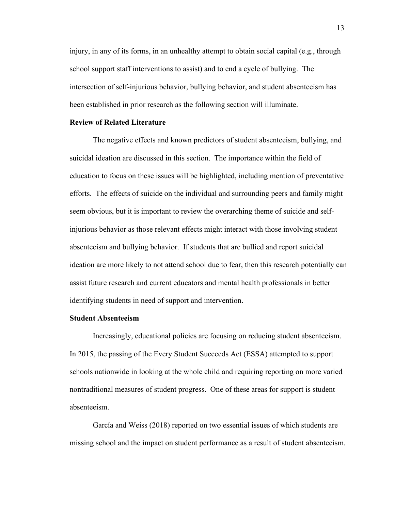injury, in any of its forms, in an unhealthy attempt to obtain social capital (e.g., through school support staff interventions to assist) and to end a cycle of bullying. The intersection of self-injurious behavior, bullying behavior, and student absenteeism has been established in prior research as the following section will illuminate.

#### <span id="page-22-0"></span>**Review of Related Literature**

The negative effects and known predictors of student absenteeism, bullying, and suicidal ideation are discussed in this section. The importance within the field of education to focus on these issues will be highlighted, including mention of preventative efforts. The effects of suicide on the individual and surrounding peers and family might seem obvious, but it is important to review the overarching theme of suicide and selfinjurious behavior as those relevant effects might interact with those involving student absenteeism and bullying behavior. If students that are bullied and report suicidal ideation are more likely to not attend school due to fear, then this research potentially can assist future research and current educators and mental health professionals in better identifying students in need of support and intervention.

## <span id="page-22-1"></span>**Student Absenteeism**

Increasingly, educational policies are focusing on reducing student absenteeism. In 2015, the passing of the Every Student Succeeds Act (ESSA) attempted to support schools nationwide in looking at the whole child and requiring reporting on more varied nontraditional measures of student progress. One of these areas for support is student absenteeism.

García and Weiss (2018) reported on two essential issues of which students are missing school and the impact on student performance as a result of student absenteeism.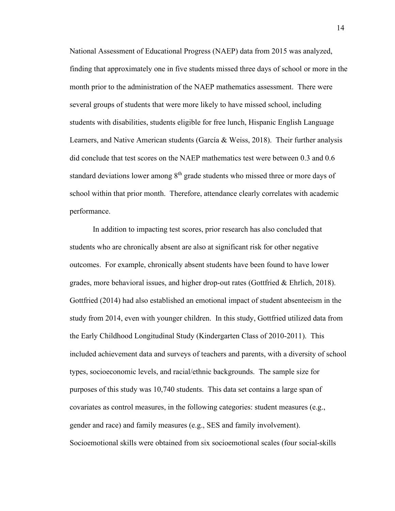National Assessment of Educational Progress (NAEP) data from 2015 was analyzed, finding that approximately one in five students missed three days of school or more in the month prior to the administration of the NAEP mathematics assessment. There were several groups of students that were more likely to have missed school, including students with disabilities, students eligible for free lunch, Hispanic English Language Learners, and Native American students (García & Weiss, 2018). Their further analysis did conclude that test scores on the NAEP mathematics test were between 0.3 and 0.6 standard deviations lower among  $8<sup>th</sup>$  grade students who missed three or more days of school within that prior month. Therefore, attendance clearly correlates with academic performance.

 In addition to impacting test scores, prior research has also concluded that students who are chronically absent are also at significant risk for other negative outcomes. For example, chronically absent students have been found to have lower grades, more behavioral issues, and higher drop-out rates (Gottfried & Ehrlich, 2018). Gottfried (2014) had also established an emotional impact of student absenteeism in the study from 2014, even with younger children. In this study, Gottfried utilized data from the Early Childhood Longitudinal Study (Kindergarten Class of 2010-2011). This included achievement data and surveys of teachers and parents, with a diversity of school types, socioeconomic levels, and racial/ethnic backgrounds. The sample size for purposes of this study was 10,740 students. This data set contains a large span of covariates as control measures, in the following categories: student measures (e.g., gender and race) and family measures (e.g., SES and family involvement). Socioemotional skills were obtained from six socioemotional scales (four social-skills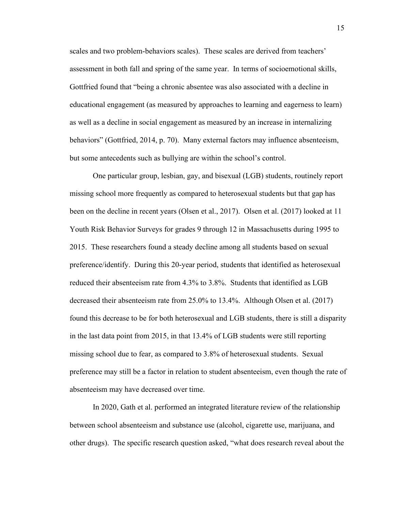scales and two problem-behaviors scales). These scales are derived from teachers' assessment in both fall and spring of the same year. In terms of socioemotional skills, Gottfried found that "being a chronic absentee was also associated with a decline in educational engagement (as measured by approaches to learning and eagerness to learn) as well as a decline in social engagement as measured by an increase in internalizing behaviors" (Gottfried, 2014, p. 70). Many external factors may influence absenteeism, but some antecedents such as bullying are within the school's control.

One particular group, lesbian, gay, and bisexual (LGB) students, routinely report missing school more frequently as compared to heterosexual students but that gap has been on the decline in recent years (Olsen et al., 2017). Olsen et al. (2017) looked at 11 Youth Risk Behavior Surveys for grades 9 through 12 in Massachusetts during 1995 to 2015. These researchers found a steady decline among all students based on sexual preference/identify. During this 20-year period, students that identified as heterosexual reduced their absenteeism rate from 4.3% to 3.8%. Students that identified as LGB decreased their absenteeism rate from 25.0% to 13.4%. Although Olsen et al. (2017) found this decrease to be for both heterosexual and LGB students, there is still a disparity in the last data point from 2015, in that 13.4% of LGB students were still reporting missing school due to fear, as compared to 3.8% of heterosexual students. Sexual preference may still be a factor in relation to student absenteeism, even though the rate of absenteeism may have decreased over time.

In 2020, Gath et al. performed an integrated literature review of the relationship between school absenteeism and substance use (alcohol, cigarette use, marijuana, and other drugs). The specific research question asked, "what does research reveal about the

15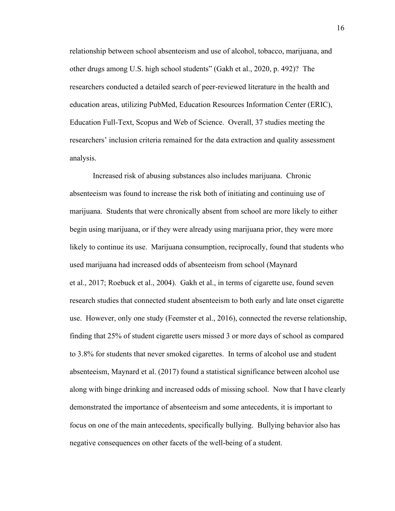relationship between school absenteeism and use of alcohol, tobacco, marijuana, and other drugs among U.S. high school students" (Gakh et al., 2020, p. 492)? The researchers conducted a detailed search of peer-reviewed literature in the health and education areas, utilizing PubMed, Education Resources Information Center (ERIC), Education Full-Text, Scopus and Web of Science. Overall, 37 studies meeting the researchers' inclusion criteria remained for the data extraction and quality assessment analysis.

Increased risk of abusing substances also includes marijuana. Chronic absenteeism was found to increase the risk both of initiating and continuing use of marijuana. Students that were chronically absent from school are more likely to either begin using marijuana, or if they were already using marijuana prior, they were more likely to continue its use. Marijuana consumption, reciprocally, found that students who used marijuana had increased odds of absenteeism from school (Maynard et al., 2017; Roebuck et al., 2004). Gakh et al., in terms of cigarette use, found seven research studies that connected student absenteeism to both early and late onset cigarette use. However, only one study (Feemster et al., 2016), connected the reverse relationship, finding that 25% of student cigarette users missed 3 or more days of school as compared to 3.8% for students that never smoked cigarettes. In terms of alcohol use and student absenteeism, Maynard et al. (2017) found a statistical significance between alcohol use along with binge drinking and increased odds of missing school. Now that I have clearly demonstrated the importance of absenteeism and some antecedents, it is important to focus on one of the main antecedents, specifically bullying. Bullying behavior also has negative consequences on other facets of the well-being of a student.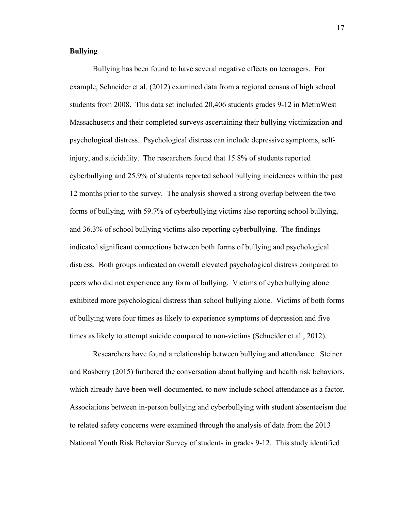## <span id="page-26-0"></span>**Bullying**

Bullying has been found to have several negative effects on teenagers. For example, Schneider et al. (2012) examined data from a regional census of high school students from 2008. This data set included 20,406 students grades 9-12 in MetroWest Massachusetts and their completed surveys ascertaining their bullying victimization and psychological distress. Psychological distress can include depressive symptoms, selfinjury, and suicidality. The researchers found that 15.8% of students reported cyberbullying and 25.9% of students reported school bullying incidences within the past 12 months prior to the survey. The analysis showed a strong overlap between the two forms of bullying, with 59.7% of cyberbullying victims also reporting school bullying, and 36.3% of school bullying victims also reporting cyberbullying. The findings indicated significant connections between both forms of bullying and psychological distress. Both groups indicated an overall elevated psychological distress compared to peers who did not experience any form of bullying. Victims of cyberbullying alone exhibited more psychological distress than school bullying alone. Victims of both forms of bullying were four times as likely to experience symptoms of depression and five times as likely to attempt suicide compared to non-victims (Schneider et al., 2012).

Researchers have found a relationship between bullying and attendance. Steiner and Rasberry (2015) furthered the conversation about bullying and health risk behaviors, which already have been well-documented, to now include school attendance as a factor. Associations between in-person bullying and cyberbullying with student absenteeism due to related safety concerns were examined through the analysis of data from the 2013 National Youth Risk Behavior Survey of students in grades 9-12. This study identified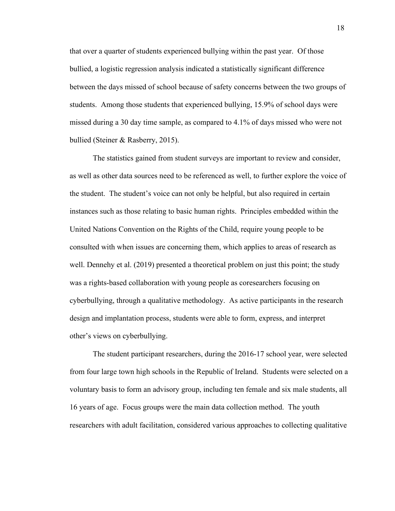that over a quarter of students experienced bullying within the past year. Of those bullied, a logistic regression analysis indicated a statistically significant difference between the days missed of school because of safety concerns between the two groups of students. Among those students that experienced bullying, 15.9% of school days were missed during a 30 day time sample, as compared to 4.1% of days missed who were not bullied (Steiner & Rasberry, 2015).

The statistics gained from student surveys are important to review and consider, as well as other data sources need to be referenced as well, to further explore the voice of the student. The student's voice can not only be helpful, but also required in certain instances such as those relating to basic human rights. Principles embedded within the United Nations Convention on the Rights of the Child, require young people to be consulted with when issues are concerning them, which applies to areas of research as well. Dennehy et al. (2019) presented a theoretical problem on just this point; the study was a rights-based collaboration with young people as coresearchers focusing on cyberbullying, through a qualitative methodology. As active participants in the research design and implantation process, students were able to form, express, and interpret other's views on cyberbullying.

The student participant researchers, during the 2016-17 school year, were selected from four large town high schools in the Republic of Ireland. Students were selected on a voluntary basis to form an advisory group, including ten female and six male students, all 16 years of age. Focus groups were the main data collection method. The youth researchers with adult facilitation, considered various approaches to collecting qualitative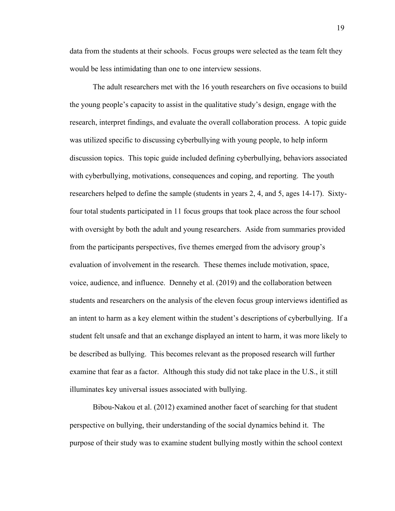data from the students at their schools. Focus groups were selected as the team felt they would be less intimidating than one to one interview sessions.

The adult researchers met with the 16 youth researchers on five occasions to build the young people's capacity to assist in the qualitative study's design, engage with the research, interpret findings, and evaluate the overall collaboration process. A topic guide was utilized specific to discussing cyberbullying with young people, to help inform discussion topics. This topic guide included defining cyberbullying, behaviors associated with cyberbullying, motivations, consequences and coping, and reporting. The youth researchers helped to define the sample (students in years 2, 4, and 5, ages 14-17). Sixtyfour total students participated in 11 focus groups that took place across the four school with oversight by both the adult and young researchers. Aside from summaries provided from the participants perspectives, five themes emerged from the advisory group's evaluation of involvement in the research. These themes include motivation, space, voice, audience, and influence. Dennehy et al. (2019) and the collaboration between students and researchers on the analysis of the eleven focus group interviews identified as an intent to harm as a key element within the student's descriptions of cyberbullying. If a student felt unsafe and that an exchange displayed an intent to harm, it was more likely to be described as bullying. This becomes relevant as the proposed research will further examine that fear as a factor. Although this study did not take place in the U.S., it still illuminates key universal issues associated with bullying.

Bibou-Nakou et al. (2012) examined another facet of searching for that student perspective on bullying, their understanding of the social dynamics behind it. The purpose of their study was to examine student bullying mostly within the school context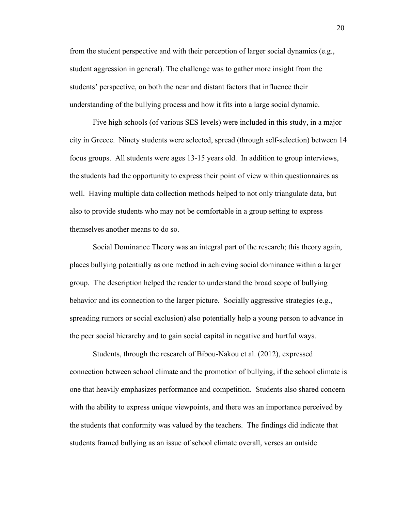from the student perspective and with their perception of larger social dynamics (e.g., student aggression in general). The challenge was to gather more insight from the students' perspective, on both the near and distant factors that influence their understanding of the bullying process and how it fits into a large social dynamic.

Five high schools (of various SES levels) were included in this study, in a major city in Greece. Ninety students were selected, spread (through self-selection) between 14 focus groups. All students were ages 13-15 years old. In addition to group interviews, the students had the opportunity to express their point of view within questionnaires as well. Having multiple data collection methods helped to not only triangulate data, but also to provide students who may not be comfortable in a group setting to express themselves another means to do so.

Social Dominance Theory was an integral part of the research; this theory again, places bullying potentially as one method in achieving social dominance within a larger group. The description helped the reader to understand the broad scope of bullying behavior and its connection to the larger picture. Socially aggressive strategies (e.g., spreading rumors or social exclusion) also potentially help a young person to advance in the peer social hierarchy and to gain social capital in negative and hurtful ways.

Students, through the research of Bibou-Nakou et al. (2012), expressed connection between school climate and the promotion of bullying, if the school climate is one that heavily emphasizes performance and competition. Students also shared concern with the ability to express unique viewpoints, and there was an importance perceived by the students that conformity was valued by the teachers. The findings did indicate that students framed bullying as an issue of school climate overall, verses an outside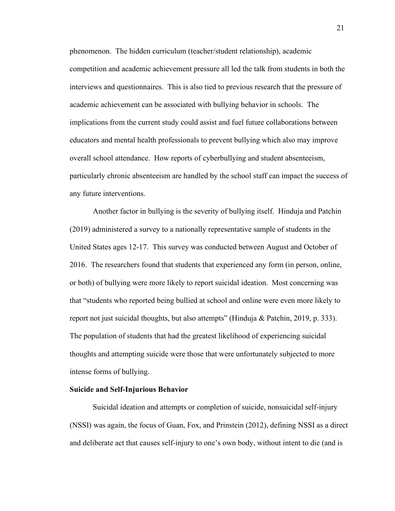phenomenon. The hidden curriculum (teacher/student relationship), academic competition and academic achievement pressure all led the talk from students in both the interviews and questionnaires. This is also tied to previous research that the pressure of academic achievement can be associated with bullying behavior in schools. The implications from the current study could assist and fuel future collaborations between educators and mental health professionals to prevent bullying which also may improve overall school attendance. How reports of cyberbullying and student absenteeism, particularly chronic absenteeism are handled by the school staff can impact the success of any future interventions.

Another factor in bullying is the severity of bullying itself. Hinduja and Patchin (2019) administered a survey to a nationally representative sample of students in the United States ages 12-17. This survey was conducted between August and October of 2016. The researchers found that students that experienced any form (in person, online, or both) of bullying were more likely to report suicidal ideation. Most concerning was that "students who reported being bullied at school and online were even more likely to report not just suicidal thoughts, but also attempts" (Hinduja & Patchin, 2019, p. 333). The population of students that had the greatest likelihood of experiencing suicidal thoughts and attempting suicide were those that were unfortunately subjected to more intense forms of bullying.

## <span id="page-30-0"></span>**Suicide and Self-Injurious Behavior**

Suicidal ideation and attempts or completion of suicide, nonsuicidal self-injury (NSSI) was again, the focus of Guan, Fox, and Prinstein (2012), defining NSSI as a direct and deliberate act that causes self-injury to one's own body, without intent to die (and is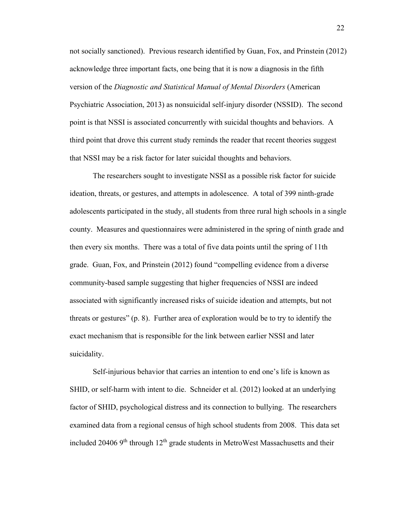not socially sanctioned). Previous research identified by Guan, Fox, and Prinstein (2012) acknowledge three important facts, one being that it is now a diagnosis in the fifth version of the *Diagnostic and Statistical Manual of Mental Disorders* (American Psychiatric Association, 2013) as nonsuicidal self-injury disorder (NSSID). The second point is that NSSI is associated concurrently with suicidal thoughts and behaviors. A third point that drove this current study reminds the reader that recent theories suggest that NSSI may be a risk factor for later suicidal thoughts and behaviors.

The researchers sought to investigate NSSI as a possible risk factor for suicide ideation, threats, or gestures, and attempts in adolescence. A total of 399 ninth-grade adolescents participated in the study, all students from three rural high schools in a single county. Measures and questionnaires were administered in the spring of ninth grade and then every six months. There was a total of five data points until the spring of 11th grade. Guan, Fox, and Prinstein (2012) found "compelling evidence from a diverse community-based sample suggesting that higher frequencies of NSSI are indeed associated with significantly increased risks of suicide ideation and attempts, but not threats or gestures" (p. 8). Further area of exploration would be to try to identify the exact mechanism that is responsible for the link between earlier NSSI and later suicidality.

Self-injurious behavior that carries an intention to end one's life is known as SHID, or self-harm with intent to die. Schneider et al. (2012) looked at an underlying factor of SHID, psychological distress and its connection to bullying. The researchers examined data from a regional census of high school students from 2008. This data set included 20406 9<sup>th</sup> through 12<sup>th</sup> grade students in MetroWest Massachusetts and their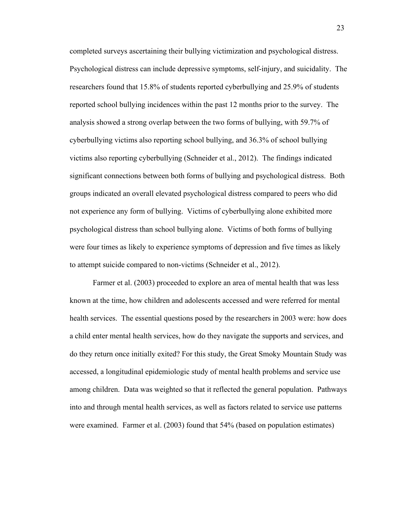completed surveys ascertaining their bullying victimization and psychological distress. Psychological distress can include depressive symptoms, self-injury, and suicidality. The researchers found that 15.8% of students reported cyberbullying and 25.9% of students reported school bullying incidences within the past 12 months prior to the survey. The analysis showed a strong overlap between the two forms of bullying, with 59.7% of cyberbullying victims also reporting school bullying, and 36.3% of school bullying victims also reporting cyberbullying (Schneider et al., 2012). The findings indicated significant connections between both forms of bullying and psychological distress. Both groups indicated an overall elevated psychological distress compared to peers who did not experience any form of bullying. Victims of cyberbullying alone exhibited more psychological distress than school bullying alone. Victims of both forms of bullying were four times as likely to experience symptoms of depression and five times as likely to attempt suicide compared to non-victims (Schneider et al., 2012).

Farmer et al. (2003) proceeded to explore an area of mental health that was less known at the time, how children and adolescents accessed and were referred for mental health services. The essential questions posed by the researchers in 2003 were: how does a child enter mental health services, how do they navigate the supports and services, and do they return once initially exited? For this study, the Great Smoky Mountain Study was accessed, a longitudinal epidemiologic study of mental health problems and service use among children. Data was weighted so that it reflected the general population. Pathways into and through mental health services, as well as factors related to service use patterns were examined. Farmer et al. (2003) found that 54% (based on population estimates)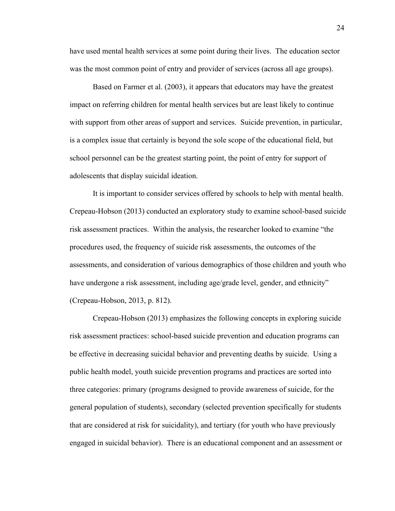have used mental health services at some point during their lives. The education sector was the most common point of entry and provider of services (across all age groups).

Based on Farmer et al. (2003), it appears that educators may have the greatest impact on referring children for mental health services but are least likely to continue with support from other areas of support and services. Suicide prevention, in particular, is a complex issue that certainly is beyond the sole scope of the educational field, but school personnel can be the greatest starting point, the point of entry for support of adolescents that display suicidal ideation.

It is important to consider services offered by schools to help with mental health. Crepeau-Hobson (2013) conducted an exploratory study to examine school-based suicide risk assessment practices. Within the analysis, the researcher looked to examine "the procedures used, the frequency of suicide risk assessments, the outcomes of the assessments, and consideration of various demographics of those children and youth who have undergone a risk assessment, including age/grade level, gender, and ethnicity" (Crepeau-Hobson, 2013, p. 812).

Crepeau-Hobson (2013) emphasizes the following concepts in exploring suicide risk assessment practices: school-based suicide prevention and education programs can be effective in decreasing suicidal behavior and preventing deaths by suicide. Using a public health model, youth suicide prevention programs and practices are sorted into three categories: primary (programs designed to provide awareness of suicide, for the general population of students), secondary (selected prevention specifically for students that are considered at risk for suicidality), and tertiary (for youth who have previously engaged in suicidal behavior). There is an educational component and an assessment or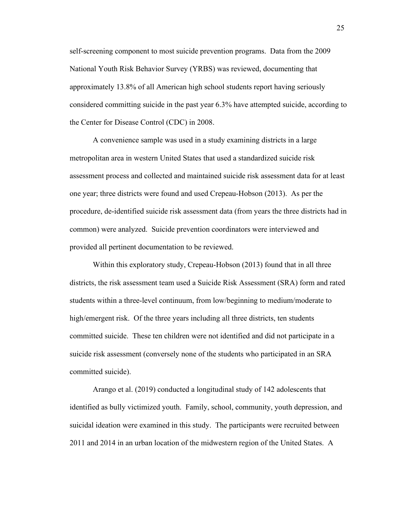self-screening component to most suicide prevention programs. Data from the 2009 National Youth Risk Behavior Survey (YRBS) was reviewed, documenting that approximately 13.8% of all American high school students report having seriously considered committing suicide in the past year 6.3% have attempted suicide, according to the Center for Disease Control (CDC) in 2008.

A convenience sample was used in a study examining districts in a large metropolitan area in western United States that used a standardized suicide risk assessment process and collected and maintained suicide risk assessment data for at least one year; three districts were found and used Crepeau-Hobson (2013). As per the procedure, de-identified suicide risk assessment data (from years the three districts had in common) were analyzed. Suicide prevention coordinators were interviewed and provided all pertinent documentation to be reviewed.

Within this exploratory study, Crepeau-Hobson (2013) found that in all three districts, the risk assessment team used a Suicide Risk Assessment (SRA) form and rated students within a three-level continuum, from low/beginning to medium/moderate to high/emergent risk. Of the three years including all three districts, ten students committed suicide. These ten children were not identified and did not participate in a suicide risk assessment (conversely none of the students who participated in an SRA committed suicide).

Arango et al. (2019) conducted a longitudinal study of 142 adolescents that identified as bully victimized youth. Family, school, community, youth depression, and suicidal ideation were examined in this study. The participants were recruited between 2011 and 2014 in an urban location of the midwestern region of the United States. A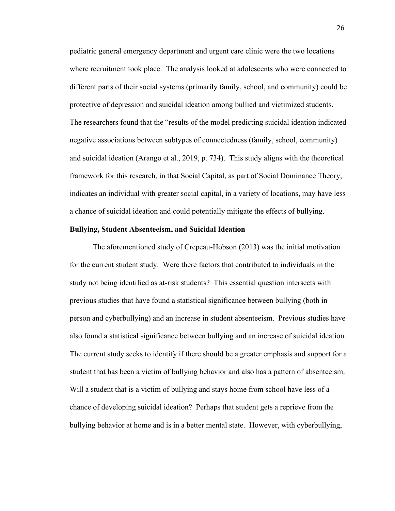pediatric general emergency department and urgent care clinic were the two locations where recruitment took place. The analysis looked at adolescents who were connected to different parts of their social systems (primarily family, school, and community) could be protective of depression and suicidal ideation among bullied and victimized students. The researchers found that the "results of the model predicting suicidal ideation indicated negative associations between subtypes of connectedness (family, school, community) and suicidal ideation (Arango et al., 2019, p. 734). This study aligns with the theoretical framework for this research, in that Social Capital, as part of Social Dominance Theory, indicates an individual with greater social capital, in a variety of locations, may have less a chance of suicidal ideation and could potentially mitigate the effects of bullying.

## <span id="page-35-0"></span>**Bullying, Student Absenteeism, and Suicidal Ideation**

The aforementioned study of Crepeau-Hobson (2013) was the initial motivation for the current student study. Were there factors that contributed to individuals in the study not being identified as at-risk students? This essential question intersects with previous studies that have found a statistical significance between bullying (both in person and cyberbullying) and an increase in student absenteeism. Previous studies have also found a statistical significance between bullying and an increase of suicidal ideation. The current study seeks to identify if there should be a greater emphasis and support for a student that has been a victim of bullying behavior and also has a pattern of absenteeism. Will a student that is a victim of bullying and stays home from school have less of a chance of developing suicidal ideation? Perhaps that student gets a reprieve from the bullying behavior at home and is in a better mental state. However, with cyberbullying,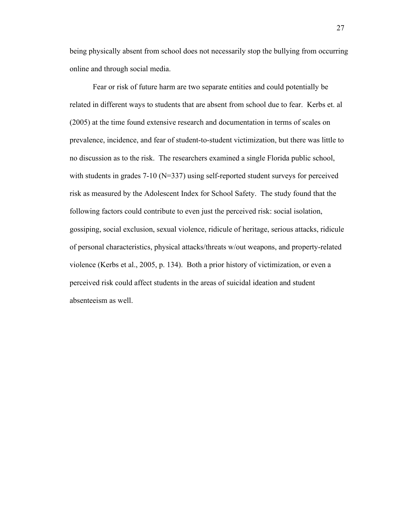being physically absent from school does not necessarily stop the bullying from occurring online and through social media.

Fear or risk of future harm are two separate entities and could potentially be related in different ways to students that are absent from school due to fear. Kerbs et. al (2005) at the time found extensive research and documentation in terms of scales on prevalence, incidence, and fear of student-to-student victimization, but there was little to no discussion as to the risk. The researchers examined a single Florida public school, with students in grades 7-10 (N=337) using self-reported student surveys for perceived risk as measured by the Adolescent Index for School Safety. The study found that the following factors could contribute to even just the perceived risk: social isolation, gossiping, social exclusion, sexual violence, ridicule of heritage, serious attacks, ridicule of personal characteristics, physical attacks/threats w/out weapons, and property-related violence (Kerbs et al., 2005, p. 134). Both a prior history of victimization, or even a perceived risk could affect students in the areas of suicidal ideation and student absenteeism as well.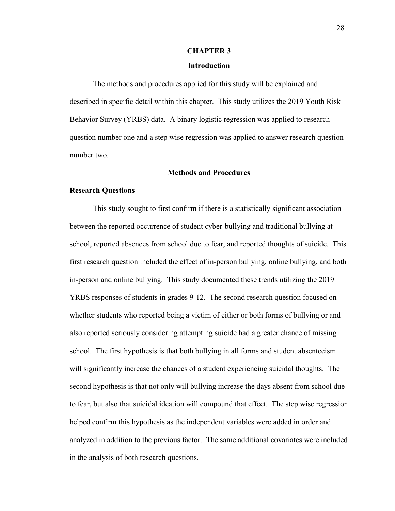## **CHAPTER 3**

## **Introduction**

<span id="page-37-1"></span><span id="page-37-0"></span>The methods and procedures applied for this study will be explained and described in specific detail within this chapter. This study utilizes the 2019 Youth Risk Behavior Survey (YRBS) data. A binary logistic regression was applied to research question number one and a step wise regression was applied to answer research question number two.

## **Methods and Procedures**

#### <span id="page-37-3"></span><span id="page-37-2"></span>**Research Questions**

 This study sought to first confirm if there is a statistically significant association between the reported occurrence of student cyber-bullying and traditional bullying at school, reported absences from school due to fear, and reported thoughts of suicide. This first research question included the effect of in-person bullying, online bullying, and both in-person and online bullying. This study documented these trends utilizing the 2019 YRBS responses of students in grades 9-12. The second research question focused on whether students who reported being a victim of either or both forms of bullying or and also reported seriously considering attempting suicide had a greater chance of missing school. The first hypothesis is that both bullying in all forms and student absenteeism will significantly increase the chances of a student experiencing suicidal thoughts. The second hypothesis is that not only will bullying increase the days absent from school due to fear, but also that suicidal ideation will compound that effect. The step wise regression helped confirm this hypothesis as the independent variables were added in order and analyzed in addition to the previous factor. The same additional covariates were included in the analysis of both research questions.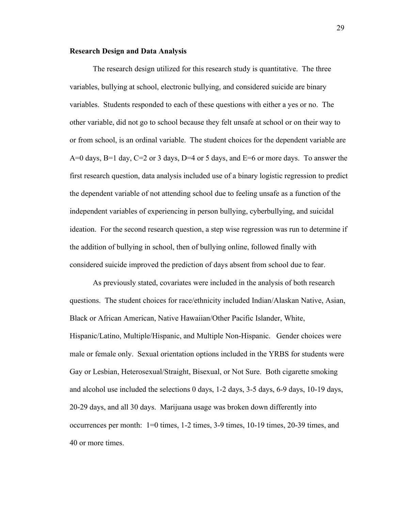#### <span id="page-38-0"></span>**Research Design and Data Analysis**

 The research design utilized for this research study is quantitative. The three variables, bullying at school, electronic bullying, and considered suicide are binary variables. Students responded to each of these questions with either a yes or no. The other variable, did not go to school because they felt unsafe at school or on their way to or from school, is an ordinal variable. The student choices for the dependent variable are A=0 days, B=1 day, C=2 or 3 days, D=4 or 5 days, and E=6 or more days. To answer the first research question, data analysis included use of a binary logistic regression to predict the dependent variable of not attending school due to feeling unsafe as a function of the independent variables of experiencing in person bullying, cyberbullying, and suicidal ideation. For the second research question, a step wise regression was run to determine if the addition of bullying in school, then of bullying online, followed finally with considered suicide improved the prediction of days absent from school due to fear.

As previously stated, covariates were included in the analysis of both research questions. The student choices for race/ethnicity included Indian/Alaskan Native, Asian, Black or African American, Native Hawaiian/Other Pacific Islander, White, Hispanic/Latino, Multiple/Hispanic, and Multiple Non-Hispanic. Gender choices were male or female only. Sexual orientation options included in the YRBS for students were Gay or Lesbian, Heterosexual/Straight, Bisexual, or Not Sure. Both cigarette smoking and alcohol use included the selections 0 days, 1-2 days, 3-5 days, 6-9 days, 10-19 days, 20-29 days, and all 30 days. Marijuana usage was broken down differently into occurrences per month: 1=0 times, 1-2 times, 3-9 times, 10-19 times, 20-39 times, and 40 or more times.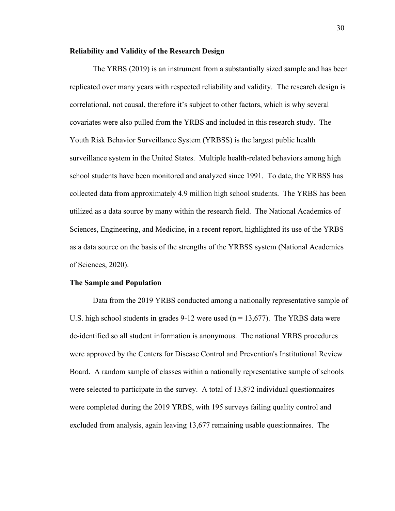#### <span id="page-39-0"></span>**Reliability and Validity of the Research Design**

 The YRBS (2019) is an instrument from a substantially sized sample and has been replicated over many years with respected reliability and validity. The research design is correlational, not causal, therefore it's subject to other factors, which is why several covariates were also pulled from the YRBS and included in this research study. The Youth Risk Behavior Surveillance System (YRBSS) is the largest public health surveillance system in the United States. Multiple health-related behaviors among high school students have been monitored and analyzed since 1991. To date, the YRBSS has collected data from approximately 4.9 million high school students. The YRBS has been utilized as a data source by many within the research field. The National Academics of Sciences, Engineering, and Medicine, in a recent report, highlighted its use of the YRBS as a data source on the basis of the strengths of the YRBSS system (National Academies of Sciences, 2020).

#### <span id="page-39-1"></span>**The Sample and Population**

Data from the 2019 YRBS conducted among a nationally representative sample of U.S. high school students in grades  $9-12$  were used ( $n = 13,677$ ). The YRBS data were de-identified so all student information is anonymous. The national YRBS procedures were approved by the Centers for Disease Control and Prevention's Institutional Review Board. A random sample of classes within a nationally representative sample of schools were selected to participate in the survey. A total of 13,872 individual questionnaires were completed during the 2019 YRBS, with 195 surveys failing quality control and excluded from analysis, again leaving 13,677 remaining usable questionnaires. The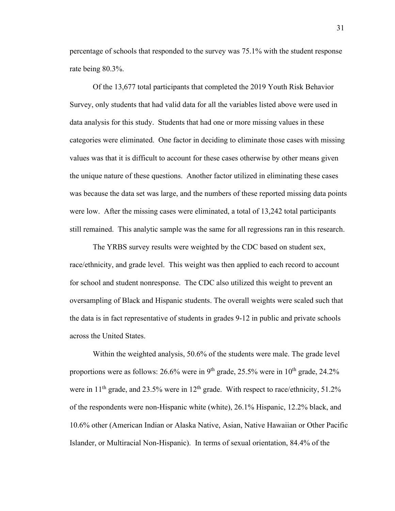percentage of schools that responded to the survey was 75.1% with the student response rate being 80.3%.

Of the 13,677 total participants that completed the 2019 Youth Risk Behavior Survey, only students that had valid data for all the variables listed above were used in data analysis for this study. Students that had one or more missing values in these categories were eliminated. One factor in deciding to eliminate those cases with missing values was that it is difficult to account for these cases otherwise by other means given the unique nature of these questions. Another factor utilized in eliminating these cases was because the data set was large, and the numbers of these reported missing data points were low. After the missing cases were eliminated, a total of 13,242 total participants still remained. This analytic sample was the same for all regressions ran in this research.

The YRBS survey results were weighted by the CDC based on student sex, race/ethnicity, and grade level. This weight was then applied to each record to account for school and student nonresponse. The CDC also utilized this weight to prevent an oversampling of Black and Hispanic students. The overall weights were scaled such that the data is in fact representative of students in grades 9-12 in public and private schools across the United States.

Within the weighted analysis, 50.6% of the students were male. The grade level proportions were as follows:  $26.6\%$  were in  $9<sup>th</sup>$  grade,  $25.5\%$  were in  $10<sup>th</sup>$  grade,  $24.2\%$ were in  $11<sup>th</sup>$  grade, and  $23.5%$  were in  $12<sup>th</sup>$  grade. With respect to race/ethnicity,  $51.2%$ of the respondents were non-Hispanic white (white), 26.1% Hispanic, 12.2% black, and 10.6% other (American Indian or Alaska Native, Asian, Native Hawaiian or Other Pacific Islander, or Multiracial Non-Hispanic). In terms of sexual orientation, 84.4% of the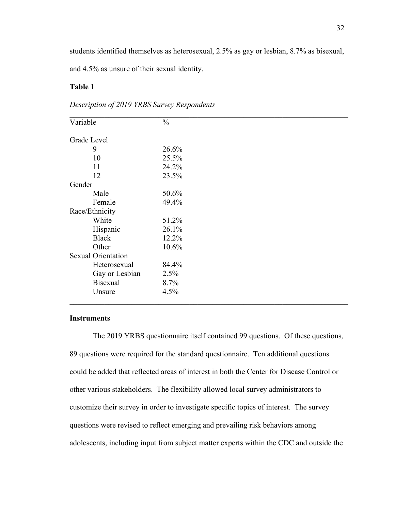students identified themselves as heterosexual, 2.5% as gay or lesbian, 8.7% as bisexual,

and 4.5% as unsure of their sexual identity.

## **Table 1**

## *Description of 2019 YRBS Survey Respondents*

| Variable                  | $\frac{0}{0}$ |  |
|---------------------------|---------------|--|
| Grade Level               |               |  |
| 9                         | 26.6%         |  |
| 10                        | 25.5%         |  |
| 11                        | 24.2%         |  |
| 12                        | 23.5%         |  |
| Gender                    |               |  |
| Male                      | 50.6%         |  |
| Female                    | 49.4%         |  |
| Race/Ethnicity            |               |  |
| White                     | 51.2%         |  |
| Hispanic                  | 26.1%         |  |
| <b>Black</b>              | 12.2%         |  |
| Other                     | 10.6%         |  |
| <b>Sexual Orientation</b> |               |  |
| Heterosexual              | 84.4%         |  |
| Gay or Lesbian            | 2.5%          |  |
| <b>Bisexual</b>           | 8.7%          |  |
| Unsure                    | 4.5%          |  |

## <span id="page-41-0"></span>**Instruments**

The 2019 YRBS questionnaire itself contained 99 questions. Of these questions, 89 questions were required for the standard questionnaire. Ten additional questions could be added that reflected areas of interest in both the Center for Disease Control or other various stakeholders. The flexibility allowed local survey administrators to customize their survey in order to investigate specific topics of interest. The survey questions were revised to reflect emerging and prevailing risk behaviors among adolescents, including input from subject matter experts within the CDC and outside the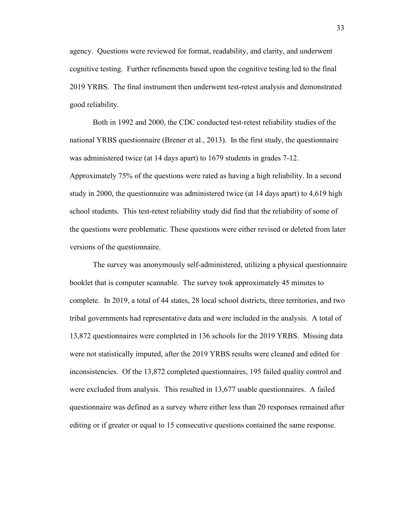agency. Questions were reviewed for format, readability, and clarity, and underwent cognitive testing. Further refinements based upon the cognitive testing led to the final 2019 YRBS. The final instrument then underwent test-retest analysis and demonstrated good reliability.

Both in 1992 and 2000, the CDC conducted test-retest reliability studies of the national YRBS questionnaire (Brener et al., 2013). In the first study, the questionnaire was administered twice (at 14 days apart) to 1679 students in grades 7-12. Approximately 75% of the questions were rated as having a high reliability. In a second study in 2000, the questionnaire was administered twice (at 14 days apart) to 4,619 high school students. This test-retest reliability study did find that the reliability of some of the questions were problematic. These questions were either revised or deleted from later versions of the questionnaire.

The survey was anonymously self-administered, utilizing a physical questionnaire booklet that is computer scannable. The survey took approximately 45 minutes to complete. In 2019, a total of 44 states, 28 local school districts, three territories, and two tribal governments had representative data and were included in the analysis. A total of 13,872 questionnaires were completed in 136 schools for the 2019 YRBS. Missing data were not statistically imputed, after the 2019 YRBS results were cleaned and edited for inconsistencies. Of the 13,872 completed questionnaires, 195 failed quality control and were excluded from analysis. This resulted in 13,677 usable questionnaires. A failed questionnaire was defined as a survey where either less than 20 responses remained after editing or if greater or equal to 15 consecutive questions contained the same response.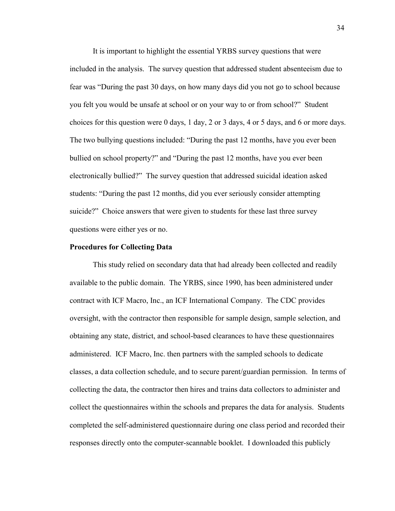It is important to highlight the essential YRBS survey questions that were included in the analysis. The survey question that addressed student absenteeism due to fear was "During the past 30 days, on how many days did you not go to school because you felt you would be unsafe at school or on your way to or from school?" Student choices for this question were 0 days, 1 day, 2 or 3 days, 4 or 5 days, and 6 or more days. The two bullying questions included: "During the past 12 months, have you ever been bullied on school property?" and "During the past 12 months, have you ever been electronically bullied?" The survey question that addressed suicidal ideation asked students: "During the past 12 months, did you ever seriously consider attempting suicide?" Choice answers that were given to students for these last three survey questions were either yes or no.

#### <span id="page-43-0"></span>**Procedures for Collecting Data**

This study relied on secondary data that had already been collected and readily available to the public domain. The YRBS, since 1990, has been administered under contract with ICF Macro, Inc., an ICF International Company. The CDC provides oversight, with the contractor then responsible for sample design, sample selection, and obtaining any state, district, and school-based clearances to have these questionnaires administered. ICF Macro, Inc. then partners with the sampled schools to dedicate classes, a data collection schedule, and to secure parent/guardian permission. In terms of collecting the data, the contractor then hires and trains data collectors to administer and collect the questionnaires within the schools and prepares the data for analysis. Students completed the self-administered questionnaire during one class period and recorded their responses directly onto the computer-scannable booklet. I downloaded this publicly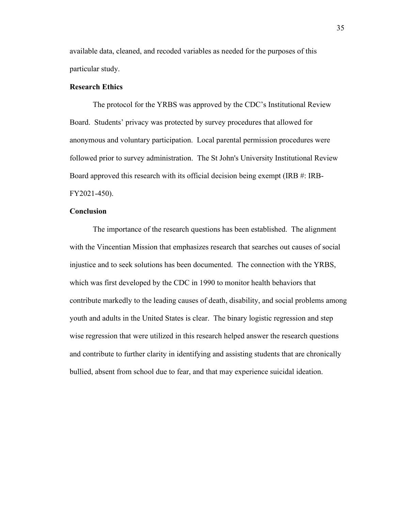available data, cleaned, and recoded variables as needed for the purposes of this particular study.

## <span id="page-44-0"></span>**Research Ethics**

The protocol for the YRBS was approved by the CDC's Institutional Review Board. Students' privacy was protected by survey procedures that allowed for anonymous and voluntary participation. Local parental permission procedures were followed prior to survey administration. The St John's University Institutional Review Board approved this research with its official decision being exempt (IRB #: IRB-FY2021-450).

## <span id="page-44-1"></span>**Conclusion**

 The importance of the research questions has been established. The alignment with the Vincentian Mission that emphasizes research that searches out causes of social injustice and to seek solutions has been documented. The connection with the YRBS, which was first developed by the CDC in 1990 to monitor health behaviors that contribute markedly to the leading causes of death, disability, and social problems among youth and adults in the United States is clear. The binary logistic regression and step wise regression that were utilized in this research helped answer the research questions and contribute to further clarity in identifying and assisting students that are chronically bullied, absent from school due to fear, and that may experience suicidal ideation.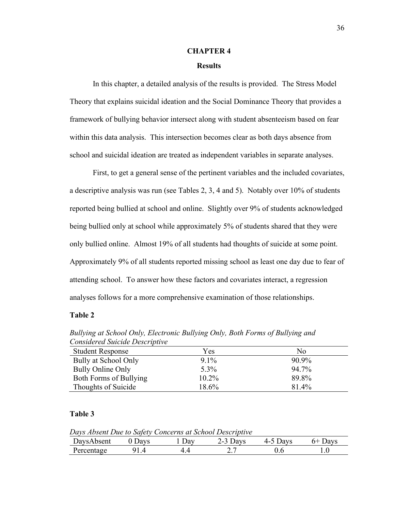## **CHAPTER 4**

## **Results**

<span id="page-45-1"></span><span id="page-45-0"></span>In this chapter, a detailed analysis of the results is provided. The Stress Model Theory that explains suicidal ideation and the Social Dominance Theory that provides a framework of bullying behavior intersect along with student absenteeism based on fear within this data analysis. This intersection becomes clear as both days absence from school and suicidal ideation are treated as independent variables in separate analyses.

First, to get a general sense of the pertinent variables and the included covariates, a descriptive analysis was run (see Tables 2, 3, 4 and 5). Notably over 10% of students reported being bullied at school and online. Slightly over 9% of students acknowledged being bullied only at school while approximately 5% of students shared that they were only bullied online. Almost 19% of all students had thoughts of suicide at some point. Approximately 9% of all students reported missing school as least one day due to fear of attending school. To answer how these factors and covariates interact, a regression analyses follows for a more comprehensive examination of those relationships.

## **Table 2**

| $\sim$                  |          |       |  |  |  |  |
|-------------------------|----------|-------|--|--|--|--|
| <b>Student Response</b> | Yes      | No    |  |  |  |  |
| Bully at School Only    | $9.1\%$  | 90.9% |  |  |  |  |
| Bully Online Only       | 5.3%     | 94.7% |  |  |  |  |
| Both Forms of Bullying  | $10.2\%$ | 89.8% |  |  |  |  |
| Thoughts of Suicide     | 18.6%    | 81.4% |  |  |  |  |

*Bullying at School Only, Electronic Bullying Only, Both Forms of Bullying and Considered Suicide Descriptive* 

## **Table 3**

*Days Absent Due to Safety Concerns at School Descriptive* DaysAbsent 0 Days 1 Day 2-3 Days 4-5 Days 6+ Days Percentage 91.4 4.4 2.7 0.6 1.0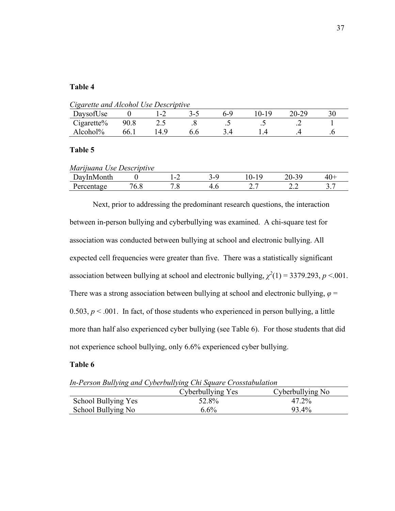## **Table 4**

*Cigarette and Alcohol Use Descriptive*

| DaysofUse  |      | ь.    | ₹–' | $h - v$        | 0-19           | 20-29 |         |
|------------|------|-------|-----|----------------|----------------|-------|---------|
| Cigarette% | 90.8 | ن و گ |     | $\cdot$ $\sim$ | $\cdot$ $\sim$ |       |         |
| Alcohol%   | 66.1 | 14.9  |     |                |                |       | $\cdot$ |

## **Table 5**

| Marijuana Use Descriptive |     |                |  |          |     |  |  |  |
|---------------------------|-----|----------------|--|----------|-----|--|--|--|
| DayInMonth                |     | $\blacksquare$ |  | 0-19     |     |  |  |  |
| Percentage                | v.o |                |  | <u>.</u> | 2.L |  |  |  |

Next, prior to addressing the predominant research questions, the interaction between in-person bullying and cyberbullying was examined. A chi-square test for association was conducted between bullying at school and electronic bullying. All expected cell frequencies were greater than five. There was a statistically significant association between bullying at school and electronic bullying,  $\chi^2(1) = 3379.293$ ,  $p < 0.001$ . There was a strong association between bullying at school and electronic bullying,  $\varphi$  = 0.503,  $p < 0.01$ . In fact, of those students who experienced in person bullying, a little more than half also experienced cyber bullying (see Table 6). For those students that did not experience school bullying, only 6.6% experienced cyber bullying.

## **Table 6**

*In-Person Bullying and Cyberbullying Chi Square Crosstabulation*

|                     | Cyberbullying Yes | Cyberbullying No |
|---------------------|-------------------|------------------|
| School Bullying Yes | 52.8%             | 47.2%            |
| School Bullying No  | $6.6\%$           | 93.4%            |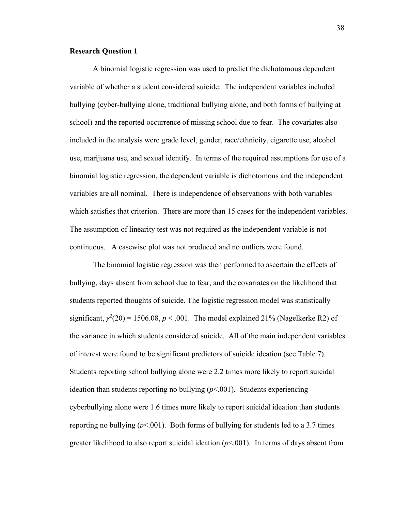## <span id="page-47-0"></span>**Research Question 1**

 A binomial logistic regression was used to predict the dichotomous dependent variable of whether a student considered suicide. The independent variables included bullying (cyber-bullying alone, traditional bullying alone, and both forms of bullying at school) and the reported occurrence of missing school due to fear. The covariates also included in the analysis were grade level, gender, race/ethnicity, cigarette use, alcohol use, marijuana use, and sexual identify. In terms of the required assumptions for use of a binomial logistic regression, the dependent variable is dichotomous and the independent variables are all nominal. There is independence of observations with both variables which satisfies that criterion. There are more than 15 cases for the independent variables. The assumption of linearity test was not required as the independent variable is not continuous. A casewise plot was not produced and no outliers were found.

The binomial logistic regression was then performed to ascertain the effects of bullying, days absent from school due to fear, and the covariates on the likelihood that students reported thoughts of suicide. The logistic regression model was statistically significant,  $\chi^2(20) = 1506.08$ ,  $p < .001$ . The model explained 21% (Nagelkerke R2) of the variance in which students considered suicide. All of the main independent variables of interest were found to be significant predictors of suicide ideation (see Table 7). Students reporting school bullying alone were 2.2 times more likely to report suicidal ideation than students reporting no bullying (*p*<.001). Students experiencing cyberbullying alone were 1.6 times more likely to report suicidal ideation than students reporting no bullying  $(p< .001)$ . Both forms of bullying for students led to a 3.7 times greater likelihood to also report suicidal ideation  $(p<0.01)$ . In terms of days absent from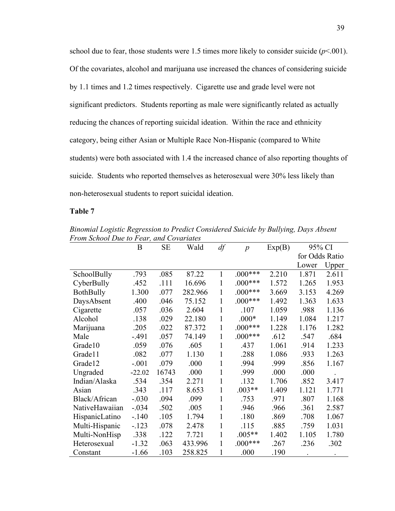school due to fear, those students were 1.5 times more likely to consider suicide  $(p<.001)$ . Of the covariates, alcohol and marijuana use increased the chances of considering suicide by 1.1 times and 1.2 times respectively. Cigarette use and grade level were not significant predictors. Students reporting as male were significantly related as actually reducing the chances of reporting suicidal ideation. Within the race and ethnicity category, being either Asian or Multiple Race Non-Hispanic (compared to White students) were both associated with 1.4 the increased chance of also reporting thoughts of suicide. Students who reported themselves as heterosexual were 30% less likely than non-heterosexual students to report suicidal ideation.

## **Table 7**

B SE Wald *df p* Exp(B) 95% CI for Odds Ratio Lower Upper SchoolBully .793 .085 87.22 1 .000\*\*\* 2.210 1.871 2.611 CyberBully .452 .111 16.696 1 .000\*\*\* 1.572 1.265 1.953 BothBully 1.300 .077 282.966 1 .000\*\*\* 3.669 3.153 4.269 DaysAbsent .400 .046 75.152 1 .000\*\*\* 1.492 1.363 1.633 Cigarette .057 .036 2.604 1 .107 1.059 .988 1.136 Alcohol .138 .029 22.180 1 .000\* 1.149 1.084 1.217 Marijuana .205 .022 87.372 1 .000\*\*\* 1.228 1.176 1.282 Male -.491 .057 74.149 1 .000\*\*\* .612 .547 .684 Grade10 .059 .076 .605 1 .437 1.061 .914 1.233 Grade11 .082 .077 1.130 1 .288 1.086 .933 1.263 Grade12 -.001 .079 .000 1 .994 .999 .856 1.167 Ungraded -22.02 16743 .000 1 .999 .000 .000 . Indian/Alaska .534 .354 2.271 1 .132 1.706 .852 3.417 Asian .343 .117 8.653 1 .003\*\* 1.409 1.121 1.771 Black/African -.030 .094 .099 1 .753 .971 .807 1.168 NativeHawaiian -.034 .502 .005 1 .946 .966 .361 2.587 HispanicLatino -.140 .105 1.794 1 .180 .869 .708 1.067 Multi-Hispanic -.123 .078 2.478 1 .115 .885 .759 1.031 Multi-NonHisp .338 .122 7.721 1 .005<sup>\*\*</sup> 1.402 1.105 1.780 Heterosexual -1.32 .063 433.996 1 .000\*\*\* .267 .236 .302 Constant -1.66 .103 258.825 1 .000 .190 . . .

*Binomial Logistic Regression to Predict Considered Suicide by Bullying, Days Absent From School Due to Fear, and Covariates*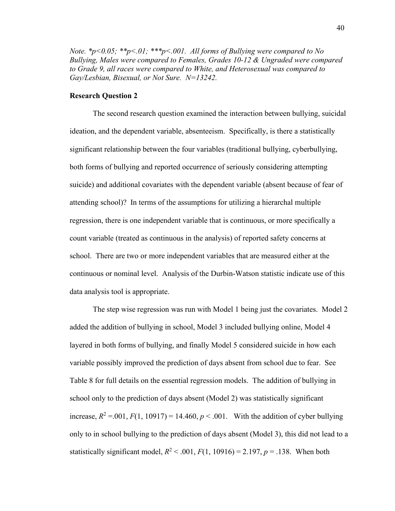*Note. \*p<0.05; \*\*p<.01; \*\*\*p<.001. All forms of Bullying were compared to No Bullying, Males were compared to Females, Grades 10-12 & Ungraded were compared to Grade 9, all races were compared to White, and Heterosexual was compared to Gay/Lesbian, Bisexual, or Not Sure. N=13242.* 

## <span id="page-49-0"></span>**Research Question 2**

The second research question examined the interaction between bullying, suicidal ideation, and the dependent variable, absenteeism. Specifically, is there a statistically significant relationship between the four variables (traditional bullying, cyberbullying, both forms of bullying and reported occurrence of seriously considering attempting suicide) and additional covariates with the dependent variable (absent because of fear of attending school)? In terms of the assumptions for utilizing a hierarchal multiple regression, there is one independent variable that is continuous, or more specifically a count variable (treated as continuous in the analysis) of reported safety concerns at school. There are two or more independent variables that are measured either at the continuous or nominal level. Analysis of the Durbin-Watson statistic indicate use of this data analysis tool is appropriate.

The step wise regression was run with Model 1 being just the covariates. Model 2 added the addition of bullying in school, Model 3 included bullying online, Model 4 layered in both forms of bullying, and finally Model 5 considered suicide in how each variable possibly improved the prediction of days absent from school due to fear. See Table 8 for full details on the essential regression models. The addition of bullying in school only to the prediction of days absent (Model 2) was statistically significant increase,  $R^2 = 0.01$ ,  $F(1, 10917) = 14.460$ ,  $p < .001$ . With the addition of cyber bullying only to in school bullying to the prediction of days absent (Model 3), this did not lead to a statistically significant model,  $R^2$  < .001,  $F(1, 10916) = 2.197$ ,  $p = .138$ . When both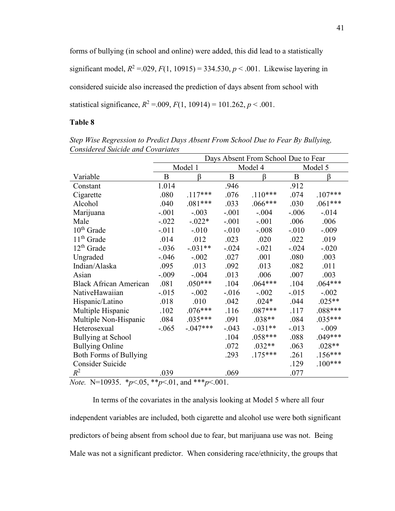forms of bullying (in school and online) were added, this did lead to a statistically significant model,  $R^2 = 0.029$ ,  $F(1, 10915) = 334.530$ ,  $p < 0.001$ . Likewise layering in considered suicide also increased the prediction of days absent from school with statistical significance,  $R^2 = 0.009$ ,  $F(1, 10914) = 101.262$ ,  $p < 0.001$ .

## **Table 8**

|                                                                           | Days Absent From School Due to Fear |            |                    |           |         |           |
|---------------------------------------------------------------------------|-------------------------------------|------------|--------------------|-----------|---------|-----------|
|                                                                           | Model 1                             |            | Model 4            |           |         | Model 5   |
| Variable                                                                  | B                                   | β          | B                  | β         | B       | β         |
| Constant                                                                  | 1.014                               |            | .946               |           | .912    |           |
| Cigarette                                                                 | .080                                | $.117***$  | .076               | $.110***$ | .074    | $.107***$ |
| Alcohol                                                                   | .040                                | $.081***$  | .033               | $.066***$ | .030    | $.061***$ |
| Marijuana                                                                 | $-.001$                             | $-.003$    | $-.001$            | $-.004$   | $-.006$ | $-.014$   |
| Male                                                                      | $-.022$                             | $-.022*$   | $-.001$            | $-.001$   | .006    | .006      |
| $10th$ Grade                                                              | $-.011$                             | $-.010$    | $-.010$            | $-.008$   | $-.010$ | $-.009$   |
| 11 <sup>th</sup> Grade                                                    | .014                                | .012       | .023               | .020      | .022    | .019      |
| $12th$ Grade                                                              | $-.036$                             | $-.031**$  | $-.024$            | $-.021$   | $-.024$ | $-.020$   |
| Ungraded                                                                  | $-.046$                             | $-.002$    | .027               | .001      | .080    | .003      |
| Indian/Alaska                                                             | .095                                | .013       | .092               | .013      | .082    | .011      |
| Asian                                                                     | $-.009$                             | $-.004$    | .013               | .006      | .007    | .003      |
| <b>Black African American</b>                                             | .081                                | $.050***$  | .104               | $.064***$ | .104    | $.064***$ |
| NativeHawaiian                                                            | $-0.015$                            | $-.002$    | $-0.016$           | $-.002$   | $-.015$ | $-.002$   |
| Hispanic/Latino                                                           | .018                                | .010       | .042               | $.024*$   | .044    | $.025**$  |
| Multiple Hispanic                                                         | .102                                | $.076***$  | .116               | $.087***$ | .117    | .088***   |
| Multiple Non-Hispanic                                                     | .084                                | $.035***$  | .091               | $.038**$  | .084    | $.035***$ |
| Heterosexual                                                              | $-.065$                             | $-.047***$ | $-.043$            | $-.031**$ | $-.013$ | $-.009$   |
| <b>Bullying at School</b>                                                 |                                     |            | .104               | $.058***$ | .088    | $.049***$ |
| <b>Bullying Online</b>                                                    |                                     |            | .072               | $.032**$  | .063    | $.028**$  |
| <b>Both Forms of Bullying</b>                                             |                                     |            | .293               | $.175***$ | .261    | $.156***$ |
| Consider Suicide                                                          |                                     |            |                    |           | .129    | $.100***$ |
| $R^2$<br>$\mathbf{v}$ 1000 $\mathbf{r}$<br>$\sim$<br>$\sim$ $\sim$ $\sim$ | .039<br>$\sim$ 0.1                  | 1 444      | .069<br>$. \cap$ 1 |           | .077    |           |

*Step Wise Regression to Predict Days Absent From School Due to Fear By Bullying, Considered Suicide and Covariates*

*Note.* N=10935.\**p*<.05, \*\**p*<.01, and \*\*\**p*<.001.

In terms of the covariates in the analysis looking at Model 5 where all four independent variables are included, both cigarette and alcohol use were both significant predictors of being absent from school due to fear, but marijuana use was not. Being Male was not a significant predictor. When considering race/ethnicity, the groups that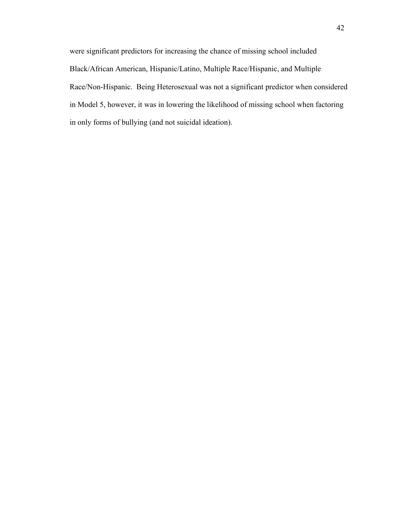were significant predictors for increasing the chance of missing school included Black/African American, Hispanic/Latino, Multiple Race/Hispanic, and Multiple Race/Non-Hispanic. Being Heterosexual was not a significant predictor when considered in Model 5, however, it was in lowering the likelihood of missing school when factoring in only forms of bullying (and not suicidal ideation).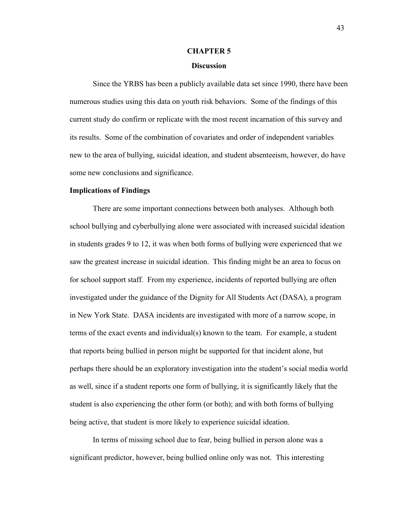## **CHAPTER 5**

## **Discussion**

<span id="page-52-1"></span><span id="page-52-0"></span>Since the YRBS has been a publicly available data set since 1990, there have been numerous studies using this data on youth risk behaviors. Some of the findings of this current study do confirm or replicate with the most recent incarnation of this survey and its results. Some of the combination of covariates and order of independent variables new to the area of bullying, suicidal ideation, and student absenteeism, however, do have some new conclusions and significance.

#### <span id="page-52-2"></span>**Implications of Findings**

 There are some important connections between both analyses. Although both school bullying and cyberbullying alone were associated with increased suicidal ideation in students grades 9 to 12, it was when both forms of bullying were experienced that we saw the greatest increase in suicidal ideation. This finding might be an area to focus on for school support staff. From my experience, incidents of reported bullying are often investigated under the guidance of the Dignity for All Students Act (DASA), a program in New York State. DASA incidents are investigated with more of a narrow scope, in terms of the exact events and individual(s) known to the team. For example, a student that reports being bullied in person might be supported for that incident alone, but perhaps there should be an exploratory investigation into the student's social media world as well, since if a student reports one form of bullying, it is significantly likely that the student is also experiencing the other form (or both); and with both forms of bullying being active, that student is more likely to experience suicidal ideation.

 In terms of missing school due to fear, being bullied in person alone was a significant predictor, however, being bullied online only was not. This interesting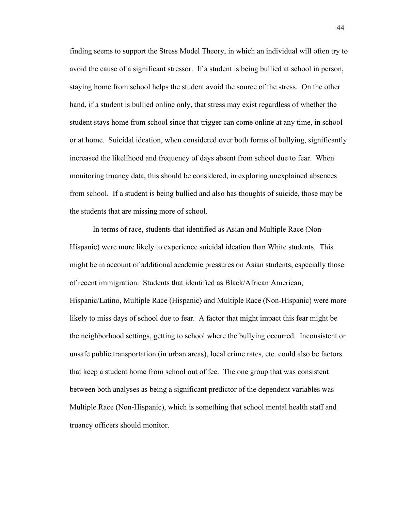finding seems to support the Stress Model Theory, in which an individual will often try to avoid the cause of a significant stressor. If a student is being bullied at school in person, staying home from school helps the student avoid the source of the stress. On the other hand, if a student is bullied online only, that stress may exist regardless of whether the student stays home from school since that trigger can come online at any time, in school or at home. Suicidal ideation, when considered over both forms of bullying, significantly increased the likelihood and frequency of days absent from school due to fear. When monitoring truancy data, this should be considered, in exploring unexplained absences from school. If a student is being bullied and also has thoughts of suicide, those may be the students that are missing more of school.

 In terms of race, students that identified as Asian and Multiple Race (Non-Hispanic) were more likely to experience suicidal ideation than White students. This might be in account of additional academic pressures on Asian students, especially those of recent immigration. Students that identified as Black/African American, Hispanic/Latino, Multiple Race (Hispanic) and Multiple Race (Non-Hispanic) were more likely to miss days of school due to fear. A factor that might impact this fear might be the neighborhood settings, getting to school where the bullying occurred. Inconsistent or unsafe public transportation (in urban areas), local crime rates, etc. could also be factors that keep a student home from school out of fee. The one group that was consistent between both analyses as being a significant predictor of the dependent variables was Multiple Race (Non-Hispanic), which is something that school mental health staff and truancy officers should monitor.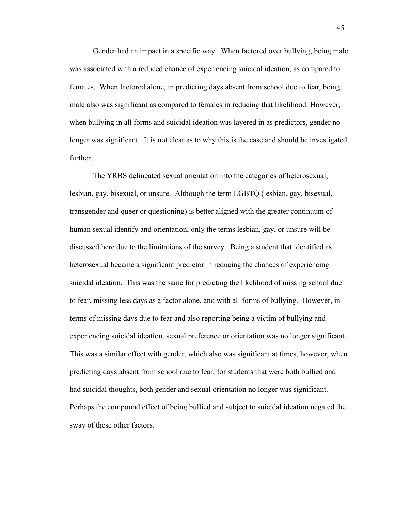Gender had an impact in a specific way. When factored over bullying, being male was associated with a reduced chance of experiencing suicidal ideation, as compared to females. When factored alone, in predicting days absent from school due to fear, being male also was significant as compared to females in reducing that likelihood. However, when bullying in all forms and suicidal ideation was layered in as predictors, gender no longer was significant. It is not clear as to why this is the case and should be investigated further.

The YRBS delineated sexual orientation into the categories of heterosexual, lesbian, gay, bisexual, or unsure. Although the term LGBTQ (lesbian, gay, bisexual, transgender and queer or questioning) is better aligned with the greater continuum of human sexual identify and orientation, only the terms lesbian, gay, or unsure will be discussed here due to the limitations of the survey. Being a student that identified as heterosexual became a significant predictor in reducing the chances of experiencing suicidal ideation. This was the same for predicting the likelihood of missing school due to fear, missing less days as a factor alone, and with all forms of bullying. However, in terms of missing days due to fear and also reporting being a victim of bullying and experiencing suicidal ideation, sexual preference or orientation was no longer significant. This was a similar effect with gender, which also was significant at times, however, when predicting days absent from school due to fear, for students that were both bullied and had suicidal thoughts, both gender and sexual orientation no longer was significant. Perhaps the compound effect of being bullied and subject to suicidal ideation negated the sway of these other factors.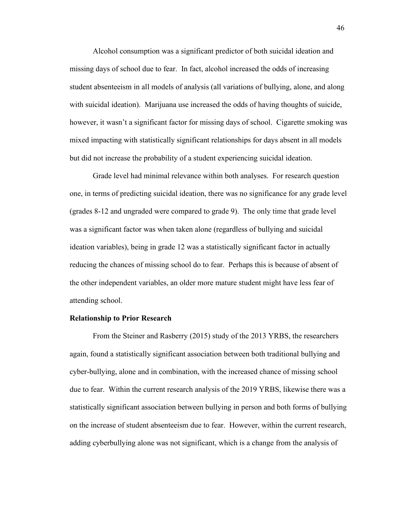Alcohol consumption was a significant predictor of both suicidal ideation and missing days of school due to fear. In fact, alcohol increased the odds of increasing student absenteeism in all models of analysis (all variations of bullying, alone, and along with suicidal ideation). Marijuana use increased the odds of having thoughts of suicide, however, it wasn't a significant factor for missing days of school. Cigarette smoking was mixed impacting with statistically significant relationships for days absent in all models but did not increase the probability of a student experiencing suicidal ideation.

Grade level had minimal relevance within both analyses. For research question one, in terms of predicting suicidal ideation, there was no significance for any grade level (grades 8-12 and ungraded were compared to grade 9). The only time that grade level was a significant factor was when taken alone (regardless of bullying and suicidal ideation variables), being in grade 12 was a statistically significant factor in actually reducing the chances of missing school do to fear. Perhaps this is because of absent of the other independent variables, an older more mature student might have less fear of attending school.

#### <span id="page-55-0"></span>**Relationship to Prior Research**

From the Steiner and Rasberry (2015) study of the 2013 YRBS, the researchers again, found a statistically significant association between both traditional bullying and cyber-bullying, alone and in combination, with the increased chance of missing school due to fear. Within the current research analysis of the 2019 YRBS, likewise there was a statistically significant association between bullying in person and both forms of bullying on the increase of student absenteeism due to fear. However, within the current research, adding cyberbullying alone was not significant, which is a change from the analysis of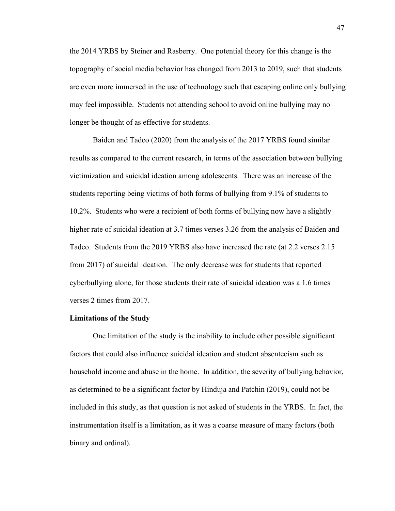the 2014 YRBS by Steiner and Rasberry. One potential theory for this change is the topography of social media behavior has changed from 2013 to 2019, such that students are even more immersed in the use of technology such that escaping online only bullying may feel impossible. Students not attending school to avoid online bullying may no longer be thought of as effective for students.

Baiden and Tadeo (2020) from the analysis of the 2017 YRBS found similar results as compared to the current research, in terms of the association between bullying victimization and suicidal ideation among adolescents. There was an increase of the students reporting being victims of both forms of bullying from 9.1% of students to 10.2%. Students who were a recipient of both forms of bullying now have a slightly higher rate of suicidal ideation at 3.7 times verses 3.26 from the analysis of Baiden and Tadeo. Students from the 2019 YRBS also have increased the rate (at 2.2 verses 2.15 from 2017) of suicidal ideation. The only decrease was for students that reported cyberbullying alone, for those students their rate of suicidal ideation was a 1.6 times verses 2 times from 2017.

#### <span id="page-56-0"></span>**Limitations of the Study**

One limitation of the study is the inability to include other possible significant factors that could also influence suicidal ideation and student absenteeism such as household income and abuse in the home. In addition, the severity of bullying behavior, as determined to be a significant factor by Hinduja and Patchin (2019), could not be included in this study, as that question is not asked of students in the YRBS. In fact, the instrumentation itself is a limitation, as it was a coarse measure of many factors (both binary and ordinal).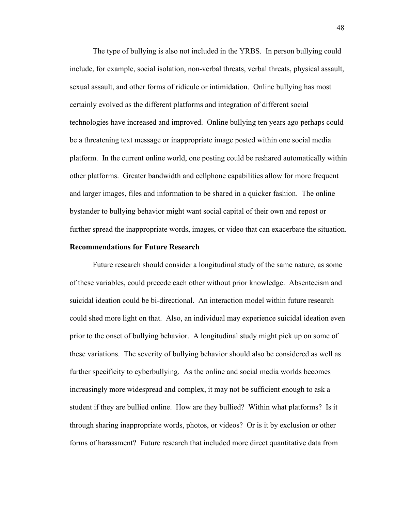The type of bullying is also not included in the YRBS. In person bullying could include, for example, social isolation, non-verbal threats, verbal threats, physical assault, sexual assault, and other forms of ridicule or intimidation. Online bullying has most certainly evolved as the different platforms and integration of different social technologies have increased and improved. Online bullying ten years ago perhaps could be a threatening text message or inappropriate image posted within one social media platform. In the current online world, one posting could be reshared automatically within other platforms. Greater bandwidth and cellphone capabilities allow for more frequent and larger images, files and information to be shared in a quicker fashion. The online bystander to bullying behavior might want social capital of their own and repost or further spread the inappropriate words, images, or video that can exacerbate the situation.

## <span id="page-57-0"></span>**Recommendations for Future Research**

Future research should consider a longitudinal study of the same nature, as some of these variables, could precede each other without prior knowledge. Absenteeism and suicidal ideation could be bi-directional. An interaction model within future research could shed more light on that. Also, an individual may experience suicidal ideation even prior to the onset of bullying behavior. A longitudinal study might pick up on some of these variations. The severity of bullying behavior should also be considered as well as further specificity to cyberbullying. As the online and social media worlds becomes increasingly more widespread and complex, it may not be sufficient enough to ask a student if they are bullied online. How are they bullied? Within what platforms? Is it through sharing inappropriate words, photos, or videos? Or is it by exclusion or other forms of harassment? Future research that included more direct quantitative data from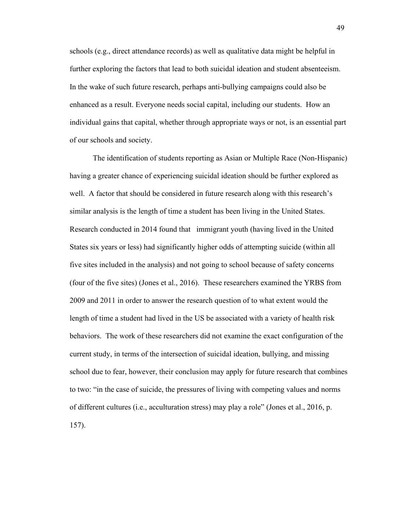schools (e.g., direct attendance records) as well as qualitative data might be helpful in further exploring the factors that lead to both suicidal ideation and student absenteeism. In the wake of such future research, perhaps anti-bullying campaigns could also be enhanced as a result. Everyone needs social capital, including our students. How an individual gains that capital, whether through appropriate ways or not, is an essential part of our schools and society.

The identification of students reporting as Asian or Multiple Race (Non-Hispanic) having a greater chance of experiencing suicidal ideation should be further explored as well. A factor that should be considered in future research along with this research's similar analysis is the length of time a student has been living in the United States. Research conducted in 2014 found that immigrant youth (having lived in the United States six years or less) had significantly higher odds of attempting suicide (within all five sites included in the analysis) and not going to school because of safety concerns (four of the five sites) (Jones et al., 2016). These researchers examined the YRBS from 2009 and 2011 in order to answer the research question of to what extent would the length of time a student had lived in the US be associated with a variety of health risk behaviors. The work of these researchers did not examine the exact configuration of the current study, in terms of the intersection of suicidal ideation, bullying, and missing school due to fear, however, their conclusion may apply for future research that combines to two: "in the case of suicide, the pressures of living with competing values and norms of different cultures (i.e., acculturation stress) may play a role" (Jones et al., 2016, p. 157).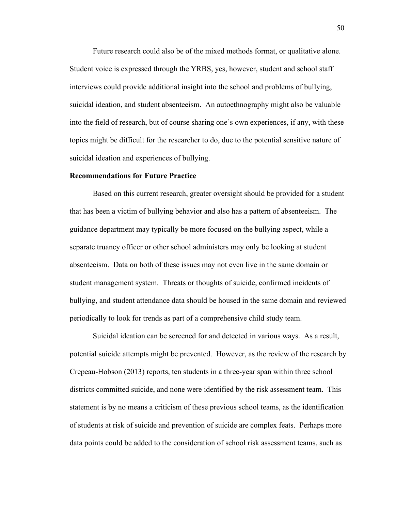Future research could also be of the mixed methods format, or qualitative alone. Student voice is expressed through the YRBS, yes, however, student and school staff interviews could provide additional insight into the school and problems of bullying, suicidal ideation, and student absenteeism. An autoethnography might also be valuable into the field of research, but of course sharing one's own experiences, if any, with these topics might be difficult for the researcher to do, due to the potential sensitive nature of suicidal ideation and experiences of bullying.

#### <span id="page-59-0"></span>**Recommendations for Future Practice**

Based on this current research, greater oversight should be provided for a student that has been a victim of bullying behavior and also has a pattern of absenteeism. The guidance department may typically be more focused on the bullying aspect, while a separate truancy officer or other school administers may only be looking at student absenteeism. Data on both of these issues may not even live in the same domain or student management system. Threats or thoughts of suicide, confirmed incidents of bullying, and student attendance data should be housed in the same domain and reviewed periodically to look for trends as part of a comprehensive child study team.

Suicidal ideation can be screened for and detected in various ways. As a result, potential suicide attempts might be prevented. However, as the review of the research by Crepeau-Hobson (2013) reports, ten students in a three-year span within three school districts committed suicide, and none were identified by the risk assessment team. This statement is by no means a criticism of these previous school teams, as the identification of students at risk of suicide and prevention of suicide are complex feats. Perhaps more data points could be added to the consideration of school risk assessment teams, such as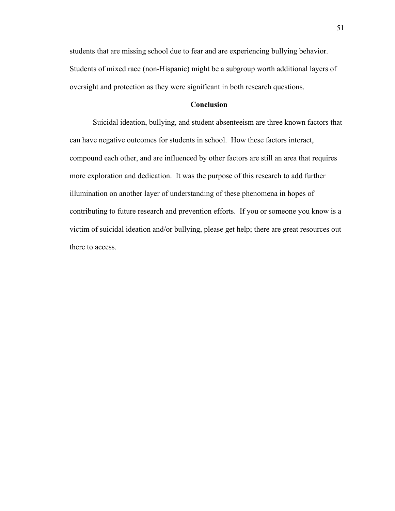students that are missing school due to fear and are experiencing bullying behavior. Students of mixed race (non-Hispanic) might be a subgroup worth additional layers of oversight and protection as they were significant in both research questions.

## **Conclusion**

<span id="page-60-0"></span>Suicidal ideation, bullying, and student absenteeism are three known factors that can have negative outcomes for students in school. How these factors interact, compound each other, and are influenced by other factors are still an area that requires more exploration and dedication. It was the purpose of this research to add further illumination on another layer of understanding of these phenomena in hopes of contributing to future research and prevention efforts. If you or someone you know is a victim of suicidal ideation and/or bullying, please get help; there are great resources out there to access.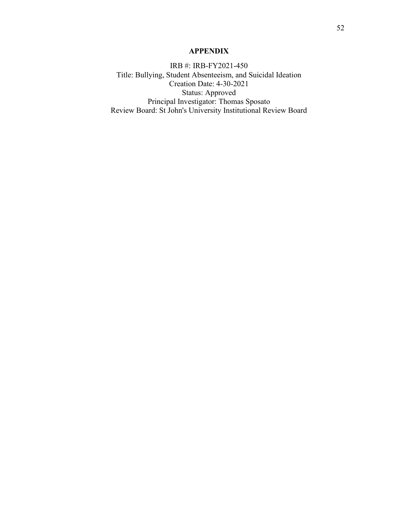## **APPENDIX**

<span id="page-61-0"></span>IRB #: IRB-FY2021-450 Title: Bullying, Student Absenteeism, and Suicidal Ideation Creation Date: 4-30-2021 Status: Approved Principal Investigator: Thomas Sposato Review Board: St John's University Institutional Review Board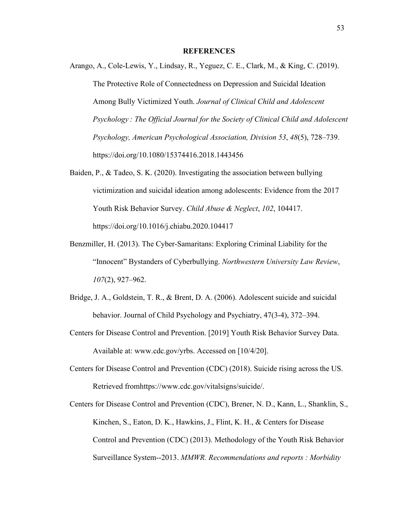## **REFERENCES**

- <span id="page-62-0"></span>Arango, A., Cole-Lewis, Y., Lindsay, R., Yeguez, C. E., Clark, M., & King, C. (2019). The Protective Role of Connectedness on Depression and Suicidal Ideation Among Bully Victimized Youth. *Journal of Clinical Child and Adolescent Psychology : The Official Journal for the Society of Clinical Child and Adolescent Psychology, American Psychological Association, Division 53*, *48*(5), 728–739. https://doi.org/10.1080/15374416.2018.1443456
- Baiden, P., & Tadeo, S. K. (2020). Investigating the association between bullying victimization and suicidal ideation among adolescents: Evidence from the 2017 Youth Risk Behavior Survey. *Child Abuse & Neglect*, *102*, 104417. https://doi.org/10.1016/j.chiabu.2020.104417
- Benzmiller, H. (2013). The Cyber-Samaritans: Exploring Criminal Liability for the "Innocent" Bystanders of Cyberbullying. *Northwestern University Law Review*, *107*(2), 927–962.
- Bridge, J. A., Goldstein, T. R., & Brent, D. A. (2006). Adolescent suicide and suicidal behavior. Journal of Child Psychology and Psychiatry, 47(3-4), 372–394.
- Centers for Disease Control and Prevention. [2019] Youth Risk Behavior Survey Data. Available at: www.cdc.gov/yrbs. Accessed on [10/4/20].
- Centers for Disease Control and Prevention (CDC) (2018). Suicide rising across the US. Retrieved fromhttps://www.cdc.gov/vitalsigns/suicide/.
- Centers for Disease Control and Prevention (CDC), Brener, N. D., Kann, L., Shanklin, S., Kinchen, S., Eaton, D. K., Hawkins, J., Flint, K. H., & Centers for Disease Control and Prevention (CDC) (2013). Methodology of the Youth Risk Behavior Surveillance System--2013. *MMWR. Recommendations and reports : Morbidity*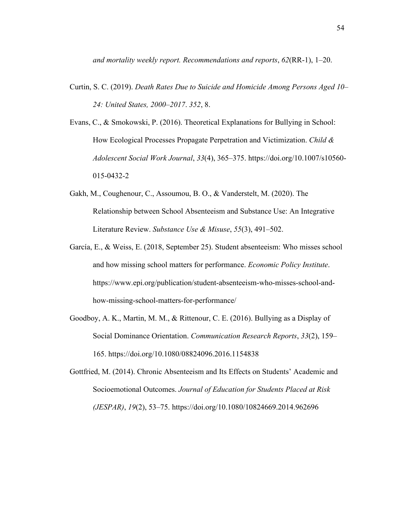*and mortality weekly report. Recommendations and reports*, *62*(RR-1), 1–20.

- Curtin, S. C. (2019). *Death Rates Due to Suicide and Homicide Among Persons Aged 10– 24: United States, 2000–2017*. *352*, 8.
- Evans, C., & Smokowski, P. (2016). Theoretical Explanations for Bullying in School: How Ecological Processes Propagate Perpetration and Victimization. *Child & Adolescent Social Work Journal*, *33*(4), 365–375. https://doi.org/10.1007/s10560- 015-0432-2
- Gakh, M., Coughenour, C., Assoumou, B. O., & Vanderstelt, M. (2020). The Relationship between School Absenteeism and Substance Use: An Integrative Literature Review. *Substance Use & Misuse*, *55*(3), 491–502.
- García, E., & Weiss, E. (2018, September 25). Student absenteeism: Who misses school and how missing school matters for performance. *Economic Policy Institute*. https://www.epi.org/publication/student-absenteeism-who-misses-school-andhow-missing-school-matters-for-performance/
- Goodboy, A. K., Martin, M. M., & Rittenour, C. E. (2016). Bullying as a Display of Social Dominance Orientation. *Communication Research Reports*, *33*(2), 159– 165. https://doi.org/10.1080/08824096.2016.1154838

Gottfried, M. (2014). Chronic Absenteeism and Its Effects on Students' Academic and Socioemotional Outcomes. *Journal of Education for Students Placed at Risk (JESPAR)*, *19*(2), 53–75. https://doi.org/10.1080/10824669.2014.962696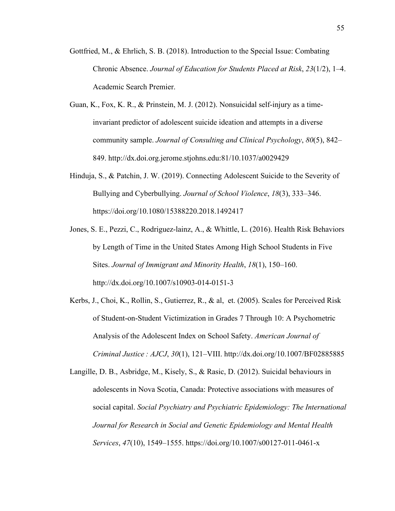- Gottfried, M., & Ehrlich, S. B. (2018). Introduction to the Special Issue: Combating Chronic Absence. *Journal of Education for Students Placed at Risk*, *23*(1/2), 1–4. Academic Search Premier.
- Guan, K., Fox, K. R., & Prinstein, M. J. (2012). Nonsuicidal self-injury as a timeinvariant predictor of adolescent suicide ideation and attempts in a diverse community sample. *Journal of Consulting and Clinical Psychology*, *80*(5), 842– 849. http://dx.doi.org.jerome.stjohns.edu:81/10.1037/a0029429
- Hinduja, S., & Patchin, J. W. (2019). Connecting Adolescent Suicide to the Severity of Bullying and Cyberbullying. *Journal of School Violence*, *18*(3), 333–346. https://doi.org/10.1080/15388220.2018.1492417
- Jones, S. E., Pezzi, C., Rodriguez-lainz, A., & Whittle, L. (2016). Health Risk Behaviors by Length of Time in the United States Among High School Students in Five Sites. *Journal of Immigrant and Minority Health*, *18*(1), 150–160. http://dx.doi.org/10.1007/s10903-014-0151-3
- Kerbs, J., Choi, K., Rollin, S., Gutierrez, R., & al, et. (2005). Scales for Perceived Risk of Student-on-Student Victimization in Grades 7 Through 10: A Psychometric Analysis of the Adolescent Index on School Safety. *American Journal of Criminal Justice : AJCJ*, *30*(1), 121–VIII. http://dx.doi.org/10.1007/BF02885885
- Langille, D. B., Asbridge, M., Kisely, S., & Rasic, D. (2012). Suicidal behaviours in adolescents in Nova Scotia, Canada: Protective associations with measures of social capital. *Social Psychiatry and Psychiatric Epidemiology: The International Journal for Research in Social and Genetic Epidemiology and Mental Health Services*, *47*(10), 1549–1555. https://doi.org/10.1007/s00127-011-0461-x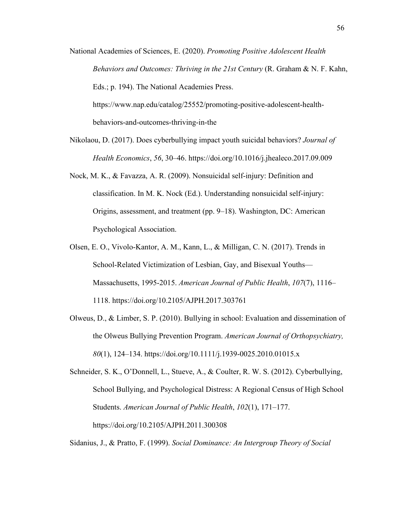- National Academies of Sciences, E. (2020). *Promoting Positive Adolescent Health Behaviors and Outcomes: Thriving in the 21st Century* (R. Graham & N. F. Kahn, Eds.; p. 194). The National Academies Press. https://www.nap.edu/catalog/25552/promoting-positive-adolescent-healthbehaviors-and-outcomes-thriving-in-the
- Nikolaou, D. (2017). Does cyberbullying impact youth suicidal behaviors? *Journal of Health Economics*, *56*, 30–46. https://doi.org/10.1016/j.jhealeco.2017.09.009
- Nock, M. K., & Favazza, A. R. (2009). Nonsuicidal self-injury: Definition and classification. In M. K. Nock (Ed.). Understanding nonsuicidal self-injury: Origins, assessment, and treatment (pp. 9–18). Washington, DC: American Psychological Association.
- Olsen, E. O., Vivolo-Kantor, A. M., Kann, L., & Milligan, C. N. (2017). Trends in School-Related Victimization of Lesbian, Gay, and Bisexual Youths— Massachusetts, 1995-2015. *American Journal of Public Health*, *107*(7), 1116– 1118. https://doi.org/10.2105/AJPH.2017.303761
- Olweus, D., & Limber, S. P. (2010). Bullying in school: Evaluation and dissemination of the Olweus Bullying Prevention Program. *American Journal of Orthopsychiatry, 80*(1), 124–134. https://doi.org/10.1111/j.1939-0025.2010.01015.x

Schneider, S. K., O'Donnell, L., Stueve, A., & Coulter, R. W. S. (2012). Cyberbullying, School Bullying, and Psychological Distress: A Regional Census of High School Students. *American Journal of Public Health*, *102*(1), 171–177. https://doi.org/10.2105/AJPH.2011.300308

Sidanius, J., & Pratto, F. (1999). *Social Dominance: An Intergroup Theory of Social*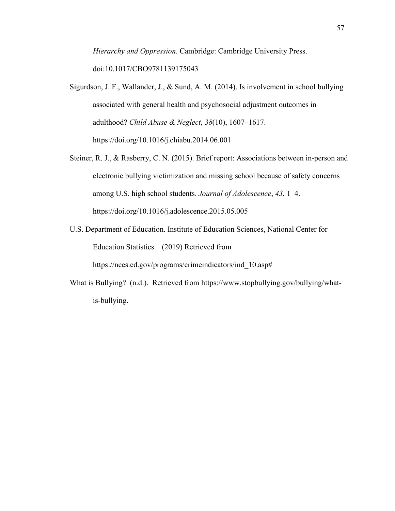*Hierarchy and Oppression*. Cambridge: Cambridge University Press. doi:10.1017/CBO9781139175043

- Sigurdson, J. F., Wallander, J., & Sund, A. M. (2014). Is involvement in school bullying associated with general health and psychosocial adjustment outcomes in adulthood? *Child Abuse & Neglect*, *38*(10), 1607–1617. https://doi.org/10.1016/j.chiabu.2014.06.001
- Steiner, R. J., & Rasberry, C. N. (2015). Brief report: Associations between in-person and electronic bullying victimization and missing school because of safety concerns among U.S. high school students. *Journal of Adolescence*, *43*, 1–4. https://doi.org/10.1016/j.adolescence.2015.05.005
- U.S. Department of Education. Institute of Education Sciences, National Center for Education Statistics. (2019) Retrieved from

https://nces.ed.gov/programs/crimeindicators/ind\_10.asp#

What is Bullying? (n.d.). Retrieved from https://www.stopbullying.gov/bullying/whatis-bullying.